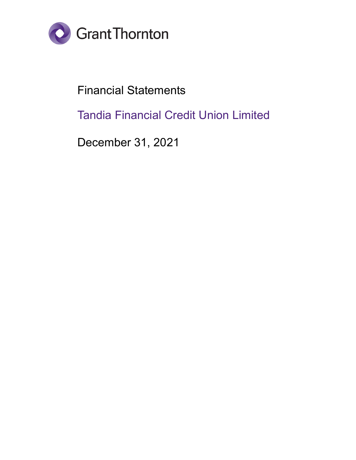

Financial Statements

Tandia Financial Credit Union Limited

December 31, 2021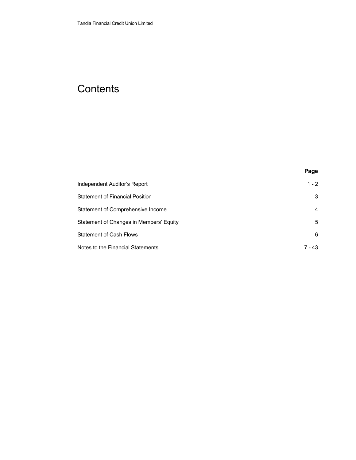# **Contents**

| Independent Auditor's Report            | $1 - 2$ |
|-----------------------------------------|---------|
| Statement of Financial Position         | 3       |
| Statement of Comprehensive Income       | 4       |
| Statement of Changes in Members' Equity | 5       |
| Statement of Cash Flows                 | 6       |
| Notes to the Financial Statements       | 7 - 43  |

**Page**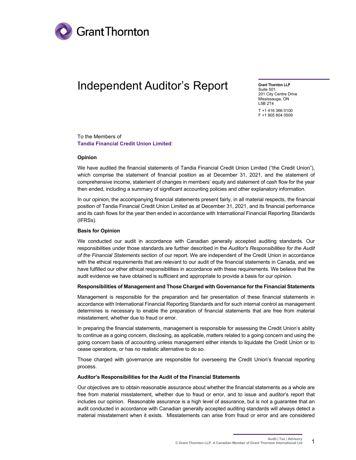

# Independent Auditor's Report

**Grant Thornton LLP**  Suite 501 201 City Centre Drive Mississauga, ON L5B 2T4 T +1 416 366 0100 F +1 905 804 0509

To the Members of **Tandia Financial Credit Union Limited**:

#### **Opinion**

We have audited the financial statements of Tandia Financial Credit Union Limited ("the Credit Union"), which comprise the statement of financial position as at December 31, 2021, and the statement of comprehensive income, statement of changes in members' equity and statement of cash flow for the year then ended, including a summary of significant accounting policies and other explanatory information.

In our opinion, the accompanying financial statements present fairly, in all material respects, the financial position of Tandia Financial Credit Union Limited as at December 31, 2021, and its financial performance and its cash flows for the year then ended in accordance with International Financial Reporting Standards (IFRSs).

#### **Basis for Opinion**

We conducted our audit in accordance with Canadian generally accepted auditing standards. Our responsibilities under those standards are further described in the *Auditor's Responsibilities for the Audit of the Financial Statements* section of our report. We are independent of the Credit Union in accordance with the ethical requirements that are relevant to our audit of the financial statements in Canada, and we have fulfilled our other ethical responsibilities in accordance with these requirements. We believe that the audit evidence we have obtained is sufficient and appropriate to provide a basis for our opinion.

#### **Responsibilities of Management and Those Charged with Governance for the Financial Statements**

Management is responsible for the preparation and fair presentation of these financial statements in accordance with International Financial Reporting Standards and for such internal control as management determines is necessary to enable the preparation of financial statements that are free from material misstatement, whether due to fraud or error.

In preparing the financial statements, management is responsible for assessing the Credit Union's ability to continue as a going concern, disclosing, as applicable, matters related to a going concern and using the going concern basis of accounting unless management either intends to liquidate the Credit Union or to cease operations, or has no realistic alternative to do so.

Those charged with governance are responsible for overseeing the Credit Union's financial reporting process.

#### **Auditor's Responsibilities for the Audit of the Financial Statements**

Our objectives are to obtain reasonable assurance about whether the financial statements as a whole are free from material misstatement, whether due to fraud or error, and to issue and auditor's report that includes our opinion. Reasonable assurance is a high level of assurance, but is not a guarantee that an audit conducted in accordance with Canadian generally accepted auditing standards will always detect a material misstatement when it exists. Misstatements can arise from fraud or error and are considered

**Audit | Tax | Advisory © Grant Thornton LLP. A Canadian Member of Grant Thornton International Ltd** 1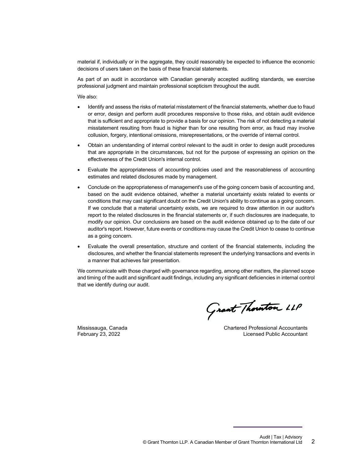material if, individually or in the aggregate, they could reasonably be expected to influence the economic decisions of users taken on the basis of these financial statements.

As part of an audit in accordance with Canadian generally accepted auditing standards, we exercise professional judgment and maintain professional scepticism throughout the audit.

We also:

- Identify and assess the risks of material misstatement of the financial statements, whether due to fraud or error, design and perform audit procedures responsive to those risks, and obtain audit evidence that is sufficient and appropriate to provide a basis for our opinion. The risk of not detecting a material misstatement resulting from fraud is higher than for one resulting from error, as fraud may involve collusion, forgery, intentional omissions, misrepresentations, or the override of internal control.
- Obtain an understanding of internal control relevant to the audit in order to design audit procedures that are appropriate in the circumstances, but not for the purpose of expressing an opinion on the effectiveness of the Credit Union's internal control.
- Evaluate the appropriateness of accounting policies used and the reasonableness of accounting estimates and related disclosures made by management.
- Conclude on the appropriateness of management's use of the going concern basis of accounting and, based on the audit evidence obtained, whether a material uncertainty exists related to events or conditions that may cast significant doubt on the Credit Union's ability to continue as a going concern. If we conclude that a material uncertainty exists, we are required to draw attention in our auditor's report to the related disclosures in the financial statements or, if such disclosures are inadequate, to modify our opinion. Our conclusions are based on the audit evidence obtained up to the date of our auditor's report. However, future events or conditions may cause the Credit Union to cease to continue as a going concern.
- Evaluate the overall presentation, structure and content of the financial statements, including the disclosures, and whether the financial statements represent the underlying transactions and events in a manner that achieves fair presentation.

We communicate with those charged with governance regarding, among other matters, the planned scope and timing of the audit and significant audit findings, including any significant deficiencies in internal control that we identify during our audit.

Grant Thouton LLP

Mississauga, Canada Chartered Professional Accountants February 23, 2022 Licensed Public Accountant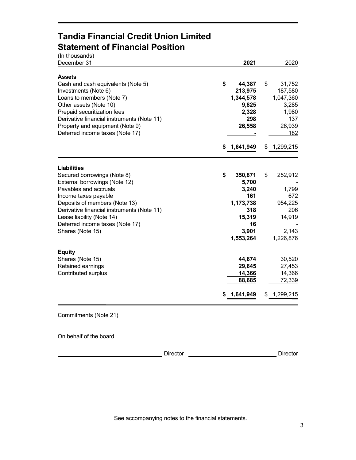| (In thousands)<br>December 31              | 2021          |    | 2020      |
|--------------------------------------------|---------------|----|-----------|
| <b>Assets</b>                              |               |    |           |
| Cash and cash equivalents (Note 5)         | \$<br>44,387  | \$ | 31,752    |
| Investments (Note 6)                       | 213,975       |    | 187,580   |
| Loans to members (Note 7)                  | 1,344,578     |    | 1,047,360 |
| Other assets (Note 10)                     | 9,825         |    | 3,285     |
| Prepaid securitization fees                | 2,328         |    | 1,980     |
| Derivative financial instruments (Note 11) | 298           |    | 137       |
| Property and equipment (Note 9)            | 26,558        |    | 26,939    |
| Deferred income taxes (Note 17)            |               |    | 182       |
|                                            | \$1,641,949   | \$ | 1,299,215 |
| <b>Liabilities</b>                         |               |    |           |
| Secured borrowings (Note 8)                | \$<br>350,871 | \$ | 252,912   |
| External borrowings (Note 12)              | 5,700         |    |           |
| Payables and accruals                      | 3,240         |    | 1,799     |
| Income taxes payable                       | 161           |    | 672       |
| Deposits of members (Note 13)              | 1,173,738     |    | 954,225   |
| Derivative financial instruments (Note 11) | 318           |    | 206       |
| Lease liability (Note 14)                  | 15,319        |    | 14,919    |
| Deferred income taxes (Note 17)            | 16            |    |           |
| Shares (Note 15)                           | 3,901         |    | 2,143     |
|                                            | 1,553,264     |    | 1,226,876 |
| <b>Equity</b>                              |               |    |           |
| Shares (Note 15)                           | 44,674        |    | 30,520    |
| Retained earnings                          | 29,645        |    | 27,453    |
| Contributed surplus                        | 14,366        |    | 14,366    |
|                                            | 88,685        |    | 72,339    |
|                                            | 1,641,949     | S  | 1,299,215 |
|                                            |               |    |           |

### **Tandia Financial Credit Union Limited Statement of Financial Position**

Commitments (Note 21)

On behalf of the board

**Director** Director **Director Director Director Director**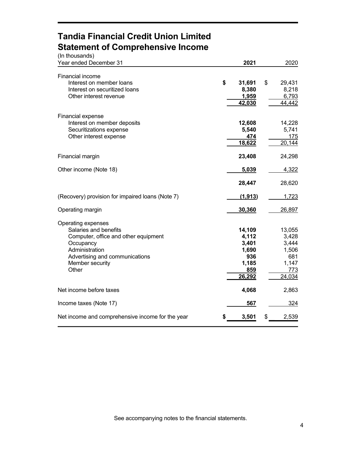### **Tandia Financial Credit Union Limited Statement of Comprehensive Income**

| (In thousands)<br>Year ended December 31                                                                                                                                         | 2021                                                               | 2020                                                               |
|----------------------------------------------------------------------------------------------------------------------------------------------------------------------------------|--------------------------------------------------------------------|--------------------------------------------------------------------|
| Financial income<br>Interest on member loans<br>Interest on securitized loans<br>Other interest revenue                                                                          | \$<br>31,691<br>8,380<br>1,959<br>42,030                           | \$<br>29,431<br>8,218<br>6,793<br>44,442                           |
| <b>Financial expense</b><br>Interest on member deposits<br>Securitizations expense<br>Other interest expense                                                                     | 12,608<br>5,540<br>474<br>18,622                                   | 14,228<br>5,741<br>$175$<br>20,144                                 |
| Financial margin                                                                                                                                                                 | 23,408                                                             | 24,298                                                             |
| Other income (Note 18)                                                                                                                                                           | 5,039                                                              | 4,322                                                              |
|                                                                                                                                                                                  | 28,447                                                             | 28,620                                                             |
| (Recovery) provision for impaired loans (Note 7)                                                                                                                                 | (1, 913)                                                           | 1,723                                                              |
| Operating margin                                                                                                                                                                 | 30,360                                                             | 26,897                                                             |
| Operating expenses<br>Salaries and benefits<br>Computer, office and other equipment<br>Occupancy<br>Administration<br>Advertising and communications<br>Member security<br>Other | 14,109<br>4,112<br>3,401<br>1,690<br>936<br>1,185<br>859<br>26,292 | 13,055<br>3,428<br>3,444<br>1,506<br>681<br>1,147<br>773<br>24,034 |
| Net income before taxes                                                                                                                                                          | 4,068                                                              | 2,863                                                              |
| Income taxes (Note 17)                                                                                                                                                           | 567                                                                | 324                                                                |
| Net income and comprehensive income for the year                                                                                                                                 | 3,501                                                              | \$<br>2,539                                                        |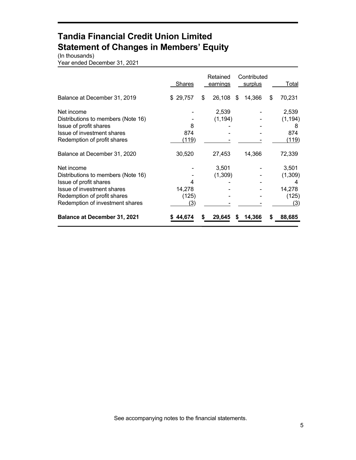# **Tandia Financial Credit Union Limited Statement of Changes in Members' Equity**

(In thousands)

Year ended December 31, 2021

|                                                                                                                                                                            | Shares                      | Retained<br>earnings | Contributed<br>surplus | Total                                           |
|----------------------------------------------------------------------------------------------------------------------------------------------------------------------------|-----------------------------|----------------------|------------------------|-------------------------------------------------|
| Balance at December 31, 2019                                                                                                                                               | \$29,757                    | \$<br>26,108         | 14,366<br>\$           | \$<br>70,231                                    |
| Net income<br>Distributions to members (Note 16)<br>Issue of profit shares<br>Issue of investment shares<br>Redemption of profit shares                                    | 8<br>874<br>(119)           | 2,539<br>(1, 194)    |                        | 2,539<br>(1, 194)<br>8<br>874<br><u>(119)</u>   |
| Balance at December 31, 2020                                                                                                                                               | 30,520                      | 27,453               | 14,366                 | 72,339                                          |
| Net income<br>Distributions to members (Note 16)<br>Issue of profit shares<br>Issue of investment shares<br>Redemption of profit shares<br>Redemption of investment shares | 4<br>14,278<br>(125)<br>(3) | 3,501<br>(1,309)     |                        | 3,501<br>(1,309)<br>4<br>14,278<br>(125)<br>(3) |
| <b>Balance at December 31, 2021</b>                                                                                                                                        | 44,674                      | 29,645               | 14,366                 | 88,685<br>S                                     |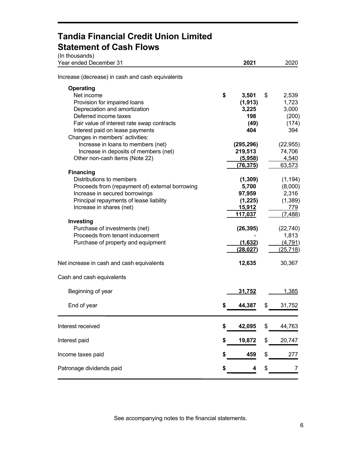| <b>Statement of Cash Flows</b><br>(In thousands)                            |                       |                     |
|-----------------------------------------------------------------------------|-----------------------|---------------------|
| Year ended December 31                                                      | 2021                  | 2020                |
| Increase (decrease) in cash and cash equivalents                            |                       |                     |
| <b>Operating</b>                                                            |                       |                     |
| Net income                                                                  | \$<br>3,501           | \$<br>2,539         |
| Provision for impaired loans                                                | (1, 913)              | 1,723               |
| Depreciation and amortization                                               | 3,225                 | 3,000               |
| Deferred income taxes                                                       | 198                   | (200)               |
| Fair value of interest rate swap contracts                                  | (49)                  | (174)               |
| Interest paid on lease payments                                             | 404                   | 394                 |
| Changes in members' activities:                                             |                       |                     |
| Increase in loans to members (net)<br>Increase in deposits of members (net) | (295, 296)<br>219,513 | (22, 955)<br>74,706 |
| Other non-cash items (Note 22)                                              | (5,958)               | 4,540               |
|                                                                             | (76, 375)             | 63,573              |
| <b>Financing</b>                                                            |                       |                     |
| Distributions to members                                                    | (1, 309)              | (1, 194)            |
| Proceeds from (repayment of) external borrowing                             | 5,700                 | (8,000)             |
| Increase in secured borrowings                                              | 97,959                | 2,316               |
| Principal repayments of lease liability                                     | (1, 225)              | (1, 389)            |
| Increase in shares (net)                                                    | 15,912                | 779                 |
|                                                                             | 117,037               | (7, 488)            |
| Investing                                                                   |                       |                     |
| Purchase of investments (net)                                               | (26, 395)             | (22, 740)           |
| Proceeds from tenant inducement                                             |                       | 1,813               |
| Purchase of property and equipment                                          | (1,632)               | (4,791)             |
|                                                                             | (28, 027)             | (25, 718)           |
| Net increase in cash and cash equivalents                                   | 12,635                | 30,367              |
| Cash and cash equivalents                                                   |                       |                     |
| Beginning of year                                                           | 31,752                | 1,385               |
|                                                                             |                       |                     |
| End of year                                                                 | \$<br>44,387          | \$<br>31,752        |
| Interest received                                                           | \$<br>42,095          | \$<br>44,763        |
| Interest paid                                                               | \$<br>19,872          | \$<br>20,747        |
|                                                                             |                       |                     |
| Income taxes paid                                                           | \$<br>459             | \$<br>277           |
| Patronage dividends paid                                                    | \$<br>4               | \$<br>7             |
|                                                                             |                       |                     |

**Tandia Financial Credit Union Limited**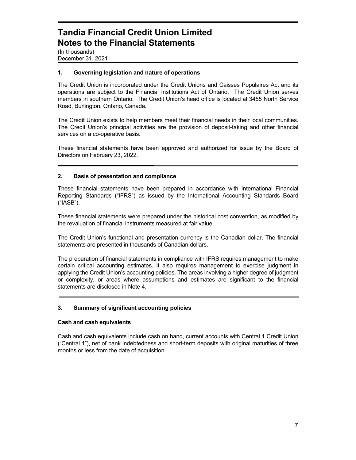(In thousands) December 31, 2021

### **1. Governing legislation and nature of operations**

The Credit Union is incorporated under the Credit Unions and Caisses Populaires Act and its operations are subject to the Financial Institutions Act of Ontario. The Credit Union serves members in southern Ontario. The Credit Union's head office is located at 3455 North Service Road, Burlington, Ontario, Canada.

The Credit Union exists to help members meet their financial needs in their local communities. The Credit Union's principal activities are the provision of deposit-taking and other financial services on a co-operative basis.

These financial statements have been approved and authorized for issue by the Board of Directors on February 23, 2022.

### **2. Basis of presentation and compliance**

These financial statements have been prepared in accordance with International Financial Reporting Standards ("IFRS") as issued by the International Accounting Standards Board ("IASB").

These financial statements were prepared under the historical cost convention, as modified by the revaluation of financial instruments measured at fair value.

The Credit Union's functional and presentation currency is the Canadian dollar. The financial statements are presented in thousands of Canadian dollars.

The preparation of financial statements in compliance with IFRS requires management to make certain critical accounting estimates. It also requires management to exercise judgment in applying the Credit Union's accounting policies. The areas involving a higher degree of judgment or complexity, or areas where assumptions and estimates are significant to the financial statements are disclosed in Note 4.

### **3. Summary of significant accounting policies**

### **Cash and cash equivalents**

Cash and cash equivalents include cash on hand, current accounts with Central 1 Credit Union ("Central 1"), net of bank indebtedness and short-term deposits with original maturities of three months or less from the date of acquisition.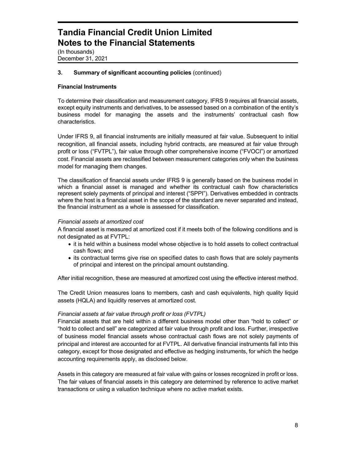(In thousands) December 31, 2021

### **3. Summary of significant accounting policies** (continued)

### **Financial Instruments**

To determine their classification and measurement category, IFRS 9 requires all financial assets, except equity instruments and derivatives, to be assessed based on a combination of the entity's business model for managing the assets and the instruments' contractual cash flow characteristics.

Under IFRS 9, all financial instruments are initially measured at fair value. Subsequent to initial recognition, all financial assets, including hybrid contracts, are measured at fair value through profit or loss ("FVTPL"), fair value through other comprehensive income ("FVOCI") or amortized cost. Financial assets are reclassified between measurement categories only when the business model for managing them changes.

The classification of financial assets under IFRS 9 is generally based on the business model in which a financial asset is managed and whether its contractual cash flow characteristics represent solely payments of principal and interest ("SPPI"). Derivatives embedded in contracts where the host is a financial asset in the scope of the standard are never separated and instead, the financial instrument as a whole is assessed for classification.

### *Financial assets at amortized cost*

A financial asset is measured at amortized cost if it meets both of the following conditions and is not designated as at FVTPL:

- it is held within a business model whose objective is to hold assets to collect contractual cash flows; and
- its contractual terms give rise on specified dates to cash flows that are solely payments of principal and interest on the principal amount outstanding.

After initial recognition, these are measured at amortized cost using the effective interest method.

The Credit Union measures loans to members, cash and cash equivalents, high quality liquid assets (HQLA) and liquidity reserves at amortized cost.

### *Financial assets at fair value through profit or loss (FVTPL)*

Financial assets that are held within a different business model other than "hold to collect" or "hold to collect and sell" are categorized at fair value through profit and loss. Further, irrespective of business model financial assets whose contractual cash flows are not solely payments of principal and interest are accounted for at FVTPL. All derivative financial instruments fall into this category, except for those designated and effective as hedging instruments, for which the hedge accounting requirements apply, as disclosed below.

Assets in this category are measured at fair value with gains or losses recognized in profit or loss. The fair values of financial assets in this category are determined by reference to active market transactions or using a valuation technique where no active market exists.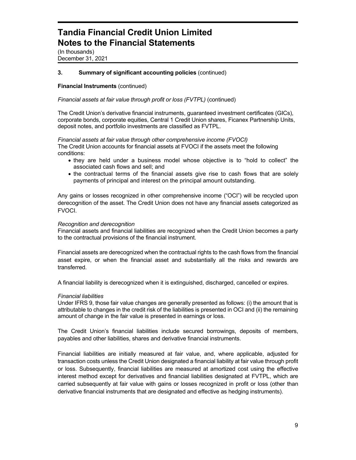(In thousands) December 31, 2021

### **3. Summary of significant accounting policies** (continued)

### **Financial Instruments** (continued)

### *Financial assets at fair value through profit or loss (FVTPL)* (continued)

The Credit Union's derivative financial instruments, guaranteed investment certificates (GICs), corporate bonds, corporate equities, Central 1 Credit Union shares, Ficanex Partnership Units, deposit notes, and portfolio investments are classified as FVTPL.

#### *Financial assets at fair value through other comprehensive income (FVOCI)*  The Credit Union accounts for financial assets at FVOCI if the assets meet the following

- conditions: they are held under a business model whose objective is to "hold to collect" the
	- associated cash flows and sell; and
	- the contractual terms of the financial assets give rise to cash flows that are solely payments of principal and interest on the principal amount outstanding.

Any gains or losses recognized in other comprehensive income ("OCI") will be recycled upon derecognition of the asset. The Credit Union does not have any financial assets categorized as FVOCI.

### *Recognition and derecognition*

Financial assets and financial liabilities are recognized when the Credit Union becomes a party to the contractual provisions of the financial instrument.

Financial assets are derecognized when the contractual rights to the cash flows from the financial asset expire, or when the financial asset and substantially all the risks and rewards are transferred.

A financial liability is derecognized when it is extinguished, discharged, cancelled or expires.

#### *Financial liabilities*

Under IFRS 9, those fair value changes are generally presented as follows: (i) the amount that is attributable to changes in the credit risk of the liabilities is presented in OCI and (ii) the remaining amount of change in the fair value is presented in earnings or loss.

The Credit Union's financial liabilities include secured borrowings, deposits of members, payables and other liabilities, shares and derivative financial instruments.

Financial liabilities are initially measured at fair value, and, where applicable, adjusted for transaction costs unless the Credit Union designated a financial liability at fair value through profit or loss. Subsequently, financial liabilities are measured at amortized cost using the effective interest method except for derivatives and financial liabilities designated at FVTPL, which are carried subsequently at fair value with gains or losses recognized in profit or loss (other than derivative financial instruments that are designated and effective as hedging instruments).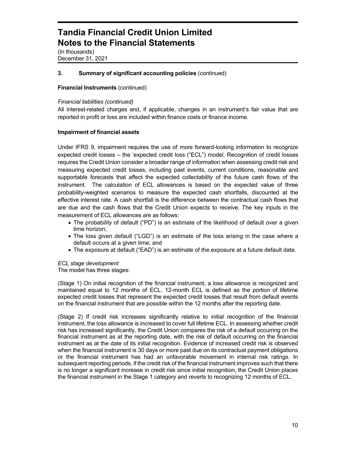(In thousands) December 31, 2021

### **3. Summary of significant accounting policies** (continued)

### **Financial Instruments** (continued)

### *Financial liabilities (continued)*

All interest-related charges and, if applicable, changes in an instrument's fair value that are reported in profit or loss are included within finance costs or finance income.

#### **Impairment of financial assets**

Under IFRS 9, impairment requires the use of more forward-looking information to recognize expected credit losses – the 'expected credit loss ("ECL") model. Recognition of credit losses requires the Credit Union consider a broader range of information when assessing credit risk and measuring expected credit losses, including past events, current conditions, reasonable and supportable forecasts that affect the expected collectability of the future cash flows of the instrument. The calculation of ECL allowances is based on the expected value of three probability-weighted scenarios to measure the expected cash shortfalls, discounted at the effective interest rate. A cash shortfall is the difference between the contractual cash flows that are due and the cash flows that the Credit Union expects to receive. The key inputs in the measurement of ECL allowances are as follows:

- The probability of default ("PD") is an estimate of the likelihood of default over a given time horizon;
- The loss given default ("LGD") is an estimate of the loss arising in the case where a default occurs at a given time; and
- The exposure at default ("EAD") is an estimate of the exposure at a future default date.

*ECL stage development* 

The model has three stages:

(Stage 1) On initial recognition of the financial instrument, a loss allowance is recognized and maintained equal to 12 months of ECL. 12-month ECL is defined as the portion of lifetime expected credit losses that represent the expected credit losses that result from default events on the financial instrument that are possible within the 12 months after the reporting date.

(Stage 2) If credit risk increases significantly relative to initial recognition of the financial instrument, the loss allowance is increased to cover full lifetime ECL. In assessing whether credit risk has increased significantly, the Credit Union compares the risk of a default occurring on the financial instrument as at the reporting date, with the risk of default occurring on the financial instrument as at the date of its initial recognition. Evidence of increased credit risk is observed when the financial instrument is 30 days or more past due on its contractual payment obligations or the financial instrument has had an unfavorable movement in internal risk ratings. In subsequent reporting periods, if the credit risk of the financial instrument improves such that there is no longer a significant increase in credit risk since initial recognition, the Credit Union places the financial instrument in the Stage 1 category and reverts to recognizing 12 months of ECL.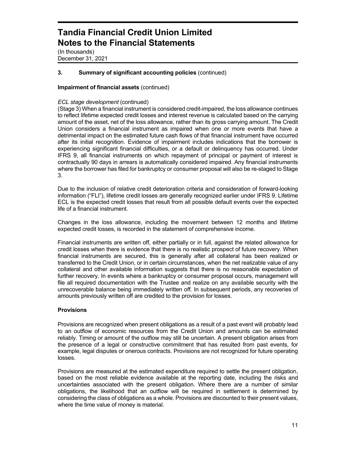(In thousands) December 31, 2021

### **3. Summary of significant accounting policies** (continued)

### **Impairment of financial assets** (continued)

#### *ECL stage development* (continued)

(Stage 3) When a financial instrument is considered credit-impaired, the loss allowance continues to reflect lifetime expected credit losses and interest revenue is calculated based on the carrying amount of the asset, net of the loss allowance, rather than its gross carrying amount. The Credit Union considers a financial instrument as impaired when one or more events that have a detrimental impact on the estimated future cash flows of that financial instrument have occurred after its initial recognition. Evidence of impairment includes indications that the borrower is experiencing significant financial difficulties, or a default or delinquency has occurred. Under IFRS 9, all financial instruments on which repayment of principal or payment of interest is contractually 90 days in arrears is automatically considered impaired. Any financial instruments where the borrower has filed for bankruptcy or consumer proposal will also be re-staged to Stage 3.

Due to the inclusion of relative credit deterioration criteria and consideration of forward-looking information ("FLI"), lifetime credit losses are generally recognized earlier under IFRS 9. Lifetime ECL is the expected credit losses that result from all possible default events over the expected life of a financial instrument.

Changes in the loss allowance, including the movement between 12 months and lifetime expected credit losses, is recorded in the statement of comprehensive income.

Financial instruments are written off, either partially or in full, against the related allowance for credit losses when there is evidence that there is no realistic prospect of future recovery. When financial instruments are secured, this is generally after all collateral has been realized or transferred to the Credit Union, or in certain circumstances, when the net realizable value of any collateral and other available information suggests that there is no reasonable expectation of further recovery. In events where a bankruptcy or consumer proposal occurs, management will file all required documentation with the Trustee and realize on any available security with the unrecoverable balance being immediately written off. In subsequent periods, any recoveries of amounts previously written off are credited to the provision for losses.

### **Provisions**

Provisions are recognized when present obligations as a result of a past event will probably lead to an outflow of economic resources from the Credit Union and amounts can be estimated reliably. Timing or amount of the outflow may still be uncertain. A present obligation arises from the presence of a legal or constructive commitment that has resulted from past events, for example, legal disputes or onerous contracts. Provisions are not recognized for future operating losses.

Provisions are measured at the estimated expenditure required to settle the present obligation, based on the most reliable evidence available at the reporting date, including the risks and uncertainties associated with the present obligation. Where there are a number of similar obligations, the likelihood that an outflow will be required in settlement is determined by considering the class of obligations as a whole. Provisions are discounted to their present values, where the time value of money is material.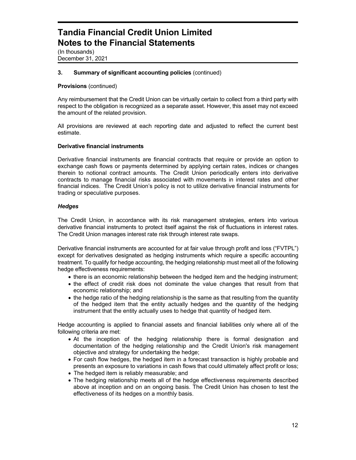(In thousands) December 31, 2021

### **3. Summary of significant accounting policies** (continued)

### **Provisions** (continued)

Any reimbursement that the Credit Union can be virtually certain to collect from a third party with respect to the obligation is recognized as a separate asset. However, this asset may not exceed the amount of the related provision.

All provisions are reviewed at each reporting date and adjusted to reflect the current best estimate.

### **Derivative financial instruments**

Derivative financial instruments are financial contracts that require or provide an option to exchange cash flows or payments determined by applying certain rates, indices or changes therein to notional contract amounts. The Credit Union periodically enters into derivative contracts to manage financial risks associated with movements in interest rates and other financial indices. The Credit Union's policy is not to utilize derivative financial instruments for trading or speculative purposes.

### *Hedges*

The Credit Union, in accordance with its risk management strategies, enters into various derivative financial instruments to protect itself against the risk of fluctuations in interest rates. The Credit Union manages interest rate risk through interest rate swaps.

Derivative financial instruments are accounted for at fair value through profit and loss ("FVTPL") except for derivatives designated as hedging instruments which require a specific accounting treatment. To qualify for hedge accounting, the hedging relationship must meet all of the following hedge effectiveness requirements:

- there is an economic relationship between the hedged item and the hedging instrument;
- the effect of credit risk does not dominate the value changes that result from that economic relationship; and
- the hedge ratio of the hedging relationship is the same as that resulting from the quantity of the hedged item that the entity actually hedges and the quantity of the hedging instrument that the entity actually uses to hedge that quantity of hedged item.

Hedge accounting is applied to financial assets and financial liabilities only where all of the following criteria are met:

- At the inception of the hedging relationship there is formal designation and documentation of the hedging relationship and the Credit Union's risk management objective and strategy for undertaking the hedge;
- For cash flow hedges, the hedged item in a forecast transaction is highly probable and presents an exposure to variations in cash flows that could ultimately affect profit or loss;
- The hedged item is reliably measurable; and
- The hedging relationship meets all of the hedge effectiveness requirements described above at inception and on an ongoing basis. The Credit Union has chosen to test the effectiveness of its hedges on a monthly basis.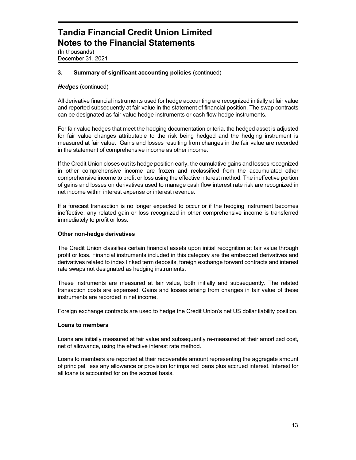(In thousands) December 31, 2021

### **3. Summary of significant accounting policies** (continued)

### *Hedges* (continued)

All derivative financial instruments used for hedge accounting are recognized initially at fair value and reported subsequently at fair value in the statement of financial position. The swap contracts can be designated as fair value hedge instruments or cash flow hedge instruments.

For fair value hedges that meet the hedging documentation criteria, the hedged asset is adjusted for fair value changes attributable to the risk being hedged and the hedging instrument is measured at fair value. Gains and losses resulting from changes in the fair value are recorded in the statement of comprehensive income as other income.

If the Credit Union closes out its hedge position early, the cumulative gains and losses recognized in other comprehensive income are frozen and reclassified from the accumulated other comprehensive income to profit or loss using the effective interest method. The ineffective portion of gains and losses on derivatives used to manage cash flow interest rate risk are recognized in net income within interest expense or interest revenue.

If a forecast transaction is no longer expected to occur or if the hedging instrument becomes ineffective, any related gain or loss recognized in other comprehensive income is transferred immediately to profit or loss.

### **Other non-hedge derivatives**

The Credit Union classifies certain financial assets upon initial recognition at fair value through profit or loss. Financial instruments included in this category are the embedded derivatives and derivatives related to index linked term deposits, foreign exchange forward contracts and interest rate swaps not designated as hedging instruments.

These instruments are measured at fair value, both initially and subsequently. The related transaction costs are expensed. Gains and losses arising from changes in fair value of these instruments are recorded in net income.

Foreign exchange contracts are used to hedge the Credit Union's net US dollar liability position.

### **Loans to members**

Loans are initially measured at fair value and subsequently re-measured at their amortized cost, net of allowance, using the effective interest rate method.

Loans to members are reported at their recoverable amount representing the aggregate amount of principal, less any allowance or provision for impaired loans plus accrued interest. Interest for all loans is accounted for on the accrual basis.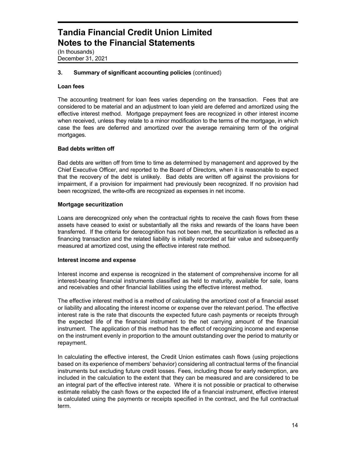(In thousands) December 31, 2021

### **3. Summary of significant accounting policies** (continued)

### **Loan fees**

The accounting treatment for loan fees varies depending on the transaction. Fees that are considered to be material and an adjustment to loan yield are deferred and amortized using the effective interest method. Mortgage prepayment fees are recognized in other interest income when received, unless they relate to a minor modification to the terms of the mortgage, in which case the fees are deferred and amortized over the average remaining term of the original mortgages.

### **Bad debts written off**

Bad debts are written off from time to time as determined by management and approved by the Chief Executive Officer, and reported to the Board of Directors, when it is reasonable to expect that the recovery of the debt is unlikely. Bad debts are written off against the provisions for impairment, if a provision for impairment had previously been recognized. If no provision had been recognized, the write-offs are recognized as expenses in net income.

### **Mortgage securitization**

Loans are derecognized only when the contractual rights to receive the cash flows from these assets have ceased to exist or substantially all the risks and rewards of the loans have been transferred. If the criteria for derecognition has not been met, the securitization is reflected as a financing transaction and the related liability is initially recorded at fair value and subsequently measured at amortized cost, using the effective interest rate method.

### **Interest income and expense**

Interest income and expense is recognized in the statement of comprehensive income for all interest-bearing financial instruments classified as held to maturity, available for sale, loans and receivables and other financial liabilities using the effective interest method.

The effective interest method is a method of calculating the amortized cost of a financial asset or liability and allocating the interest income or expense over the relevant period. The effective interest rate is the rate that discounts the expected future cash payments or receipts through the expected life of the financial instrument to the net carrying amount of the financial instrument. The application of this method has the effect of recognizing income and expense on the instrument evenly in proportion to the amount outstanding over the period to maturity or repayment.

In calculating the effective interest, the Credit Union estimates cash flows (using projections based on its experience of members' behavior) considering all contractual terms of the financial instruments but excluding future credit losses. Fees, including those for early redemption, are included in the calculation to the extent that they can be measured and are considered to be an integral part of the effective interest rate. Where it is not possible or practical to otherwise estimate reliably the cash flows or the expected life of a financial instrument, effective interest is calculated using the payments or receipts specified in the contract, and the full contractual term.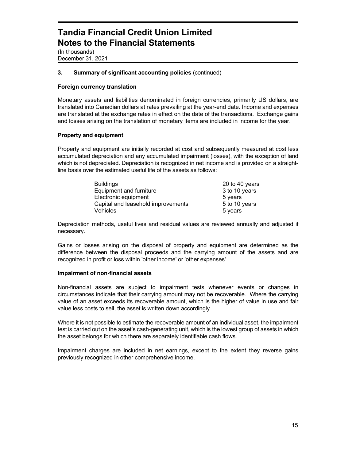(In thousands) December 31, 2021

### **3. Summary of significant accounting policies** (continued)

### **Foreign currency translation**

Monetary assets and liabilities denominated in foreign currencies, primarily US dollars, are translated into Canadian dollars at rates prevailing at the year-end date. Income and expenses are translated at the exchange rates in effect on the date of the transactions. Exchange gains and losses arising on the translation of monetary items are included in income for the year.

### **Property and equipment**

Property and equipment are initially recorded at cost and subsequently measured at cost less accumulated depreciation and any accumulated impairment (losses), with the exception of land which is not depreciated. Depreciation is recognized in net income and is provided on a straightline basis over the estimated useful life of the assets as follows:

| <b>Buildings</b>                   | 20 to 40 years |
|------------------------------------|----------------|
| Equipment and furniture            | 3 to 10 years  |
| Electronic equipment               | 5 years        |
| Capital and leasehold improvements | 5 to 10 years  |
| Vehicles                           | 5 years        |

Depreciation methods, useful lives and residual values are reviewed annually and adjusted if necessary.

Gains or losses arising on the disposal of property and equipment are determined as the difference between the disposal proceeds and the carrying amount of the assets and are recognized in profit or loss within 'other income' or 'other expenses'.

### **Impairment of non-financial assets**

Non-financial assets are subject to impairment tests whenever events or changes in circumstances indicate that their carrying amount may not be recoverable. Where the carrying value of an asset exceeds its recoverable amount, which is the higher of value in use and fair value less costs to sell, the asset is written down accordingly.

Where it is not possible to estimate the recoverable amount of an individual asset, the impairment test is carried out on the asset's cash-generating unit, which is the lowest group of assets in which the asset belongs for which there are separately identifiable cash flows.

Impairment charges are included in net earnings, except to the extent they reverse gains previously recognized in other comprehensive income.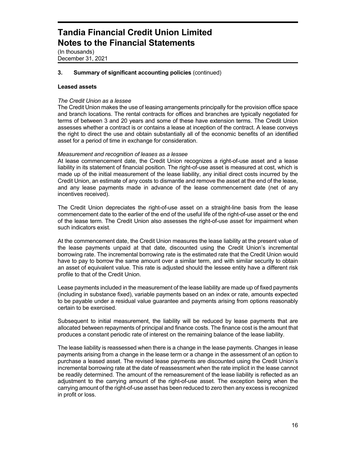(In thousands) December 31, 2021

### **3. Summary of significant accounting policies** (continued)

#### **Leased assets**

#### *The Credit Union as a lessee*

The Credit Union makes the use of leasing arrangements principally for the provision office space and branch locations. The rental contracts for offices and branches are typically negotiated for terms of between 3 and 20 years and some of these have extension terms. The Credit Union assesses whether a contract is or contains a lease at inception of the contract. A lease conveys the right to direct the use and obtain substantially all of the economic benefits of an identified asset for a period of time in exchange for consideration.

#### *Measurement and recognition of leases as a lessee*

At lease commencement date, the Credit Union recognizes a right-of-use asset and a lease liability in its statement of financial position. The right-of-use asset is measured at cost, which is made up of the initial measurement of the lease liability, any initial direct costs incurred by the Credit Union, an estimate of any costs to dismantle and remove the asset at the end of the lease, and any lease payments made in advance of the lease commencement date (net of any incentives received).

The Credit Union depreciates the right-of-use asset on a straight-line basis from the lease commencement date to the earlier of the end of the useful life of the right-of-use asset or the end of the lease term. The Credit Union also assesses the right-of-use asset for impairment when such indicators exist.

At the commencement date, the Credit Union measures the lease liability at the present value of the lease payments unpaid at that date, discounted using the Credit Union's incremental borrowing rate. The incremental borrowing rate is the estimated rate that the Credit Union would have to pay to borrow the same amount over a similar term, and with similar security to obtain an asset of equivalent value. This rate is adjusted should the lessee entity have a different risk profile to that of the Credit Union.

Lease payments included in the measurement of the lease liability are made up of fixed payments (including in substance fixed), variable payments based on an index or rate, amounts expected to be payable under a residual value guarantee and payments arising from options reasonably certain to be exercised.

Subsequent to initial measurement, the liability will be reduced by lease payments that are allocated between repayments of principal and finance costs. The finance cost is the amount that produces a constant periodic rate of interest on the remaining balance of the lease liability.

The lease liability is reassessed when there is a change in the lease payments. Changes in lease payments arising from a change in the lease term or a change in the assessment of an option to purchase a leased asset. The revised lease payments are discounted using the Credit Union's incremental borrowing rate at the date of reassessment when the rate implicit in the lease cannot be readily determined. The amount of the remeasurement of the lease liability is reflected as an adjustment to the carrying amount of the right-of-use asset. The exception being when the carrying amount of the right-of-use asset has been reduced to zero then any excess is recognized in profit or loss.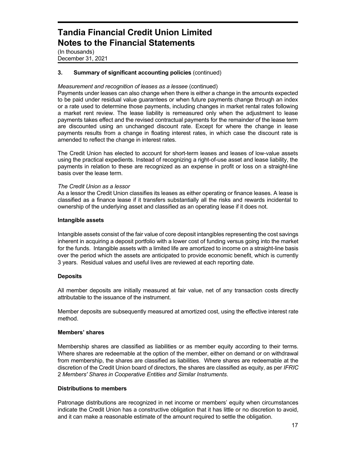(In thousands) December 31, 2021

### **3. Summary of significant accounting policies** (continued)

### *Measurement and recognition of leases as a lessee* (continued)

Payments under leases can also change when there is either a change in the amounts expected to be paid under residual value guarantees or when future payments change through an index or a rate used to determine those payments, including changes in market rental rates following a market rent review. The lease liability is remeasured only when the adjustment to lease payments takes effect and the revised contractual payments for the remainder of the lease term are discounted using an unchanged discount rate. Except for where the change in lease payments results from a change in floating interest rates, in which case the discount rate is amended to reflect the change in interest rates.

The Credit Union has elected to account for short-term leases and leases of low-value assets using the practical expedients. Instead of recognizing a right-of-use asset and lease liability, the payments in relation to these are recognized as an expense in profit or loss on a straight-line basis over the lease term.

#### *The Credit Union as a lessor*

As a lessor the Credit Union classifies its leases as either operating or finance leases. A lease is classified as a finance lease if it transfers substantially all the risks and rewards incidental to ownership of the underlying asset and classified as an operating lease if it does not.

#### **Intangible assets**

Intangible assets consist of the fair value of core deposit intangibles representing the cost savings inherent in acquiring a deposit portfolio with a lower cost of funding versus going into the market for the funds. Intangible assets with a limited life are amortized to income on a straight-line basis over the period which the assets are anticipated to provide economic benefit, which is currently 3 years. Residual values and useful lives are reviewed at each reporting date.

### **Deposits**

All member deposits are initially measured at fair value, net of any transaction costs directly attributable to the issuance of the instrument.

Member deposits are subsequently measured at amortized cost, using the effective interest rate method.

### **Members' shares**

Membership shares are classified as liabilities or as member equity according to their terms. Where shares are redeemable at the option of the member, either on demand or on withdrawal from membership, the shares are classified as liabilities. Where shares are redeemable at the discretion of the Credit Union board of directors, the shares are classified as equity, as per *IFRIC*  2 *Members' Shares in Cooperative Entities and Similar Instruments*.

### **Distributions to members**

Patronage distributions are recognized in net income or members' equity when circumstances indicate the Credit Union has a constructive obligation that it has little or no discretion to avoid, and it can make a reasonable estimate of the amount required to settle the obligation.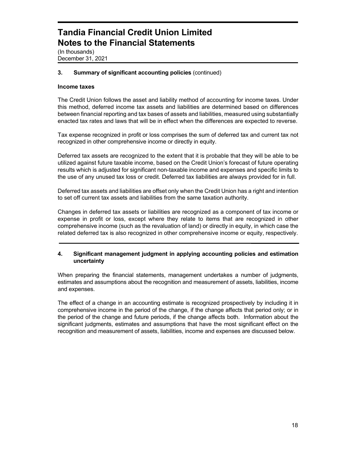(In thousands) December 31, 2021

### **3. Summary of significant accounting policies** (continued)

#### **Income taxes**

The Credit Union follows the asset and liability method of accounting for income taxes. Under this method, deferred income tax assets and liabilities are determined based on differences between financial reporting and tax bases of assets and liabilities, measured using substantially enacted tax rates and laws that will be in effect when the differences are expected to reverse.

Tax expense recognized in profit or loss comprises the sum of deferred tax and current tax not recognized in other comprehensive income or directly in equity.

Deferred tax assets are recognized to the extent that it is probable that they will be able to be utilized against future taxable income, based on the Credit Union's forecast of future operating results which is adjusted for significant non-taxable income and expenses and specific limits to the use of any unused tax loss or credit. Deferred tax liabilities are always provided for in full.

Deferred tax assets and liabilities are offset only when the Credit Union has a right and intention to set off current tax assets and liabilities from the same taxation authority.

Changes in deferred tax assets or liabilities are recognized as a component of tax income or expense in profit or loss, except where they relate to items that are recognized in other comprehensive income (such as the revaluation of land) or directly in equity, in which case the related deferred tax is also recognized in other comprehensive income or equity, respectively.

### **4. Significant management judgment in applying accounting policies and estimation uncertainty**

When preparing the financial statements, management undertakes a number of judgments, estimates and assumptions about the recognition and measurement of assets, liabilities, income and expenses.

The effect of a change in an accounting estimate is recognized prospectively by including it in comprehensive income in the period of the change, if the change affects that period only; or in the period of the change and future periods, if the change affects both. Information about the significant judgments, estimates and assumptions that have the most significant effect on the recognition and measurement of assets, liabilities, income and expenses are discussed below.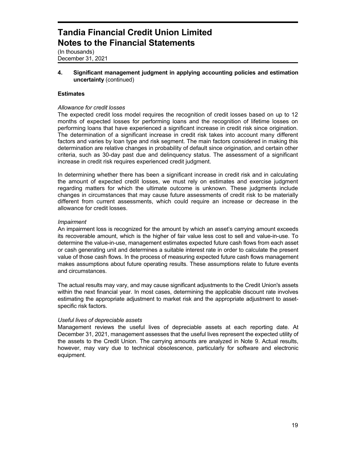(In thousands) December 31, 2021

**4. Significant management judgment in applying accounting policies and estimation uncertainty** (continued)

### **Estimates**

### *Allowance for credit losses*

The expected credit loss model requires the recognition of credit losses based on up to 12 months of expected losses for performing loans and the recognition of lifetime losses on performing loans that have experienced a significant increase in credit risk since origination. The determination of a significant increase in credit risk takes into account many different factors and varies by loan type and risk segment. The main factors considered in making this determination are relative changes in probability of default since origination, and certain other criteria, such as 30-day past due and delinquency status. The assessment of a significant increase in credit risk requires experienced credit judgment.

In determining whether there has been a significant increase in credit risk and in calculating the amount of expected credit losses, we must rely on estimates and exercise judgment regarding matters for which the ultimate outcome is unknown. These judgments include changes in circumstances that may cause future assessments of credit risk to be materially different from current assessments, which could require an increase or decrease in the allowance for credit losses.

### *Impairment*

An impairment loss is recognized for the amount by which an asset's carrying amount exceeds its recoverable amount, which is the higher of fair value less cost to sell and value-in-use. To determine the value-in-use, management estimates expected future cash flows from each asset or cash generating unit and determines a suitable interest rate in order to calculate the present value of those cash flows. In the process of measuring expected future cash flows management makes assumptions about future operating results. These assumptions relate to future events and circumstances.

The actual results may vary, and may cause significant adjustments to the Credit Union's assets within the next financial year. In most cases, determining the applicable discount rate involves estimating the appropriate adjustment to market risk and the appropriate adjustment to assetspecific risk factors.

### *Useful lives of depreciable assets*

Management reviews the useful lives of depreciable assets at each reporting date. At December 31, 2021, management assesses that the useful lives represent the expected utility of the assets to the Credit Union. The carrying amounts are analyzed in Note 9. Actual results, however, may vary due to technical obsolescence, particularly for software and electronic equipment.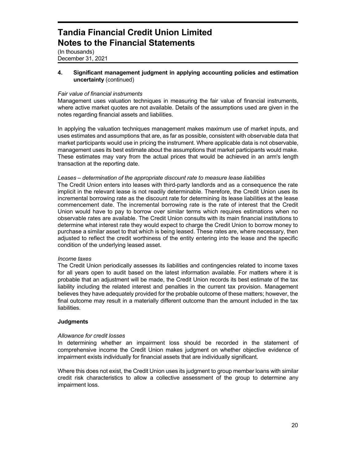(In thousands) December 31, 2021

**4. Significant management judgment in applying accounting policies and estimation uncertainty** (continued)

### *Fair value of financial instruments*

Management uses valuation techniques in measuring the fair value of financial instruments, where active market quotes are not available. Details of the assumptions used are given in the notes regarding financial assets and liabilities.

In applying the valuation techniques management makes maximum use of market inputs, and uses estimates and assumptions that are, as far as possible, consistent with observable data that market participants would use in pricing the instrument. Where applicable data is not observable, management uses its best estimate about the assumptions that market participants would make. These estimates may vary from the actual prices that would be achieved in an arm's length transaction at the reporting date.

#### *Leases – determination of the appropriate discount rate to measure lease liabilities*

The Credit Union enters into leases with third-party landlords and as a consequence the rate implicit in the relevant lease is not readily determinable. Therefore, the Credit Union uses its incremental borrowing rate as the discount rate for determining its lease liabilities at the lease commencement date. The incremental borrowing rate is the rate of interest that the Credit Union would have to pay to borrow over similar terms which requires estimations when no observable rates are available. The Credit Union consults with its main financial institutions to determine what interest rate they would expect to charge the Credit Union to borrow money to purchase a similar asset to that which is being leased. These rates are, where necessary, then adjusted to reflect the credit worthiness of the entity entering into the lease and the specific condition of the underlying leased asset.

### *Income taxes*

The Credit Union periodically assesses its liabilities and contingencies related to income taxes for all years open to audit based on the latest information available. For matters where it is probable that an adjustment will be made, the Credit Union records its best estimate of the tax liability including the related interest and penalties in the current tax provision. Management believes they have adequately provided for the probable outcome of these matters; however, the final outcome may result in a materially different outcome than the amount included in the tax liabilities.

### **Judgments**

### *Allowance for credit losses*

In determining whether an impairment loss should be recorded in the statement of comprehensive income the Credit Union makes judgment on whether objective evidence of impairment exists individually for financial assets that are individually significant.

Where this does not exist, the Credit Union uses its judgment to group member loans with similar credit risk characteristics to allow a collective assessment of the group to determine any impairment loss.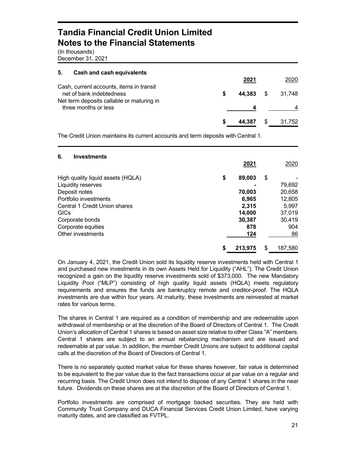(In thousands) December 31, 2021

| 5.<br>Cash and cash equivalents                                                                                                           |   |        |    |        |
|-------------------------------------------------------------------------------------------------------------------------------------------|---|--------|----|--------|
|                                                                                                                                           |   | 2021   |    | 2020   |
| Cash, current accounts, items in transit<br>net of bank indebtedness<br>Net term deposits callable or maturing in<br>three months or less | S | 44.383 | -S | 31.748 |
|                                                                                                                                           |   |        |    |        |
|                                                                                                                                           | S | 44,387 | S  | 31,752 |

The Credit Union maintains its current accounts and term deposits with Central 1.

| 6.<br><b>Investments</b>          |               |               |
|-----------------------------------|---------------|---------------|
|                                   | 2021          | 2020          |
| High quality liquid assets (HQLA) | \$<br>89,003  | \$            |
| Liquidity reserves                |               | 79,692        |
| Deposit notes                     | 70,003        | 20,658        |
| Portfolio investments             | 6.965         | 12,805        |
| Central 1 Credit Union shares     | 2,315         | 5,997         |
| <b>GICs</b>                       | 14,000        | 37,019        |
| Corporate bonds                   | 30,387        | 30,419        |
| Corporate equities                | 878           | 904           |
| Other investments                 | 124           | 86            |
|                                   | \$<br>213,975 | \$<br>187,580 |

On January 4, 2021, the Credit Union sold its liquidity reserve investments held with Central 1 and purchased new investments in its own Assets Held for Liquidity ("AHL"). The Credit Union recognized a gain on the liquidity reserve investments sold of \$373,000. The new Mandatory Liquidity Pool ("MLP") consisting of high quality liquid assets (HQLA) meets regulatory requirements and ensures the funds are bankruptcy remote and creditor-proof. The HQLA investments are due within four years. At maturity, these investments are reinvested at market rates for various terms.

The shares in Central 1 are required as a condition of membership and are redeemable upon withdrawal of membership or at the discretion of the Board of Directors of Central 1. The Credit Union's allocation of Central 1 shares is based on asset size relative to other Class "A" members. Central 1 shares are subject to an annual rebalancing mechanism and are issued and redeemable at par value. In addition, the member Credit Unions are subject to additional capital calls at the discretion of the Board of Directors of Central 1.

There is no separately quoted market value for these shares however, fair value is determined to be equivalent to the par value due to the fact transactions occur at par value on a regular and recurring basis. The Credit Union does not intend to dispose of any Central 1 shares in the near future. Dividends on these shares are at the discretion of the Board of Directors of Central 1.

Portfolio investments are comprised of mortgage backed securities. They are held with Community Trust Company and DUCA Financial Services Credit Union Limited, have varying maturity dates, and are classified as FVTPL.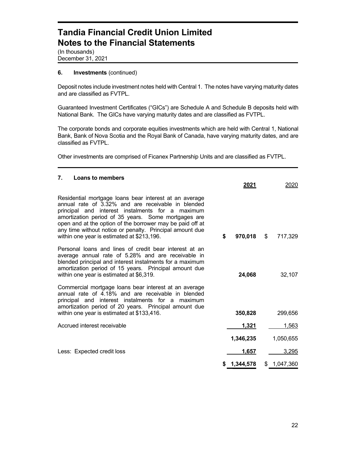(In thousands) December 31, 2021

### **6. Investments** (continued)

Deposit notes include investment notes held with Central 1. The notes have varying maturity dates and are classified as FVTPL.

Guaranteed Investment Certificates ("GICs") are Schedule A and Schedule B deposits held with National Bank. The GICs have varying maturity dates and are classified as FVTPL.

The corporate bonds and corporate equities investments which are held with Central 1, National Bank, Bank of Nova Scotia and the Royal Bank of Canada, have varying maturity dates, and are classified as FVTPL.

Other investments are comprised of Ficanex Partnership Units and are classified as FVTPL.

| 7.<br>Loans to members                                                                                                                                                                                                                                                                                                                                                                         | 2021          | 2020          |
|------------------------------------------------------------------------------------------------------------------------------------------------------------------------------------------------------------------------------------------------------------------------------------------------------------------------------------------------------------------------------------------------|---------------|---------------|
| Residential mortgage loans bear interest at an average<br>annual rate of 3.32% and are receivable in blended<br>principal and interest instalments for a maximum<br>amortization period of 35 years. Some mortgages are<br>open and at the option of the borrower may be paid off at<br>any time without notice or penalty. Principal amount due<br>within one year is estimated at \$213,196. | \$<br>970,018 | \$<br>717,329 |
| Personal loans and lines of credit bear interest at an<br>average annual rate of 5.28% and are receivable in<br>blended principal and interest instalments for a maximum<br>amortization period of 15 years. Principal amount due<br>within one year is estimated at \$6,319.                                                                                                                  | 24,068        | 32,107        |
| Commercial mortgage loans bear interest at an average<br>annual rate of 4.18% and are receivable in blended<br>principal and interest instalments for a maximum<br>amortization period of 20 years. Principal amount due<br>within one year is estimated at \$133,416.                                                                                                                         | 350,828       | 299,656       |
| Accrued interest receivable                                                                                                                                                                                                                                                                                                                                                                    | 1,321         | 1,563         |
|                                                                                                                                                                                                                                                                                                                                                                                                | 1,346,235     | 1,050,655     |
| Less: Expected credit loss                                                                                                                                                                                                                                                                                                                                                                     | 1,657         | 3,295         |
|                                                                                                                                                                                                                                                                                                                                                                                                | 1,344,578     | \$1,047,360   |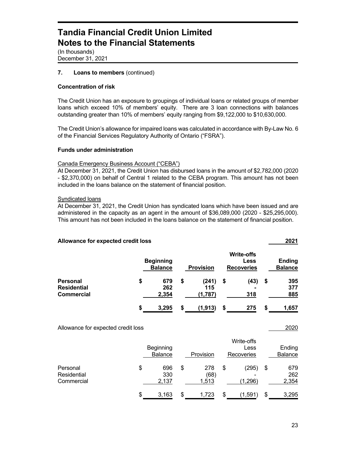(In thousands) December 31, 2021

### **7. Loans to members** (continued)

### **Concentration of risk**

The Credit Union has an exposure to groupings of individual loans or related groups of member loans which exceed 10% of members' equity. There are 3 loan connections with balances outstanding greater than 10% of members' equity ranging from \$9,122,000 to \$10,630,000.

The Credit Union's allowance for impaired loans was calculated in accordance with By-Law No. 6 of the Financial Services Regulatory Authority of Ontario ("FSRA").

### **Funds under administration**

#### Canada Emergency Business Account ("CEBA")

At December 31, 2021, the Credit Union has disbursed loans in the amount of \$2,782,000 (2020 - \$2,370,000) on behalf of Central 1 related to the CEBA program. This amount has not been included in the loans balance on the statement of financial position.

#### Syndicated loans

At December 31, 2021, the Credit Union has syndicated loans which have been issued and are administered in the capacity as an agent in the amount of \$36,089,000 (2020 - \$25,295,000). This amount has not been included in the loans balance on the statement of financial position.

| Allowance for expected credit loss                         |                                    |                               |                                                       | 2021                            |
|------------------------------------------------------------|------------------------------------|-------------------------------|-------------------------------------------------------|---------------------------------|
|                                                            | <b>Beginning</b><br><b>Balance</b> | <b>Provision</b>              | <b>Write-offs</b><br><b>Less</b><br><b>Recoveries</b> | <b>Ending</b><br><b>Balance</b> |
| <b>Personal</b><br><b>Residential</b><br><b>Commercial</b> | \$<br>679<br>262<br>2,354          | \$<br>(241)<br>115<br>(1,787) | \$<br>(43)<br><u>318</u>                              | \$<br>395<br>377<br>885         |
|                                                            | \$<br>3,295                        | \$<br>(1, 913)                | \$<br>275                                             | \$<br>1,657                     |
| Allowance for expected credit loss                         |                                    |                               |                                                       | 2020                            |
|                                                            | Beginning<br><b>Balance</b>        | Provision                     | Write-offs<br>Less<br>Recoveries                      | Ending<br>Balance               |
| Personal<br>Residential<br>Commercial                      | \$<br>696<br>330<br>2,137          | \$<br>278<br>(68)<br>1,513    | \$<br>(295)<br>(1,296)                                | \$<br>679<br>262<br>2,354       |
|                                                            | \$<br>3,163                        | \$<br>1,723                   | \$<br>(1,591)                                         | \$<br>3,295                     |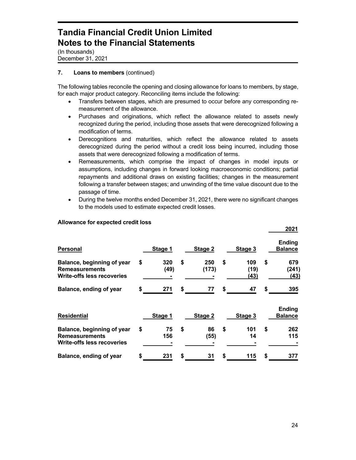(In thousands) December 31, 2021

### **7. Loans to members** (continued)

The following tables reconcile the opening and closing allowance for loans to members, by stage, for each major product category. Reconciling items include the following:

- Transfers between stages, which are presumed to occur before any corresponding remeasurement of the allowance.
- Purchases and originations, which reflect the allowance related to assets newly recognized during the period, including those assets that were derecognized following a modification of terms.
- Derecognitions and maturities, which reflect the allowance related to assets derecognized during the period without a credit loss being incurred, including those assets that were derecognized following a modification of terms.
- Remeasurements, which comprise the impact of changes in model inputs or assumptions, including changes in forward looking macroeconomic conditions; partial repayments and additional draws on existing facilities; changes in the measurement following a transfer between stages; and unwinding of the time value discount due to the passage of time.
- During the twelve months ended December 31, 2021, there were no significant changes to the models used to estimate expected credit losses.

 **2021** 

| <b>Personal</b>                                                                   | Stage 1           |    | Stage 2      | Stage 3                   | Ending<br><b>Balance</b>        |
|-----------------------------------------------------------------------------------|-------------------|----|--------------|---------------------------|---------------------------------|
| Balance, beginning of year<br><b>Remeasurements</b><br>Write-offs less recoveries | \$<br>320<br>(49) | \$ | 250<br>(173) | \$<br>109<br>(19)<br>(43) | \$<br>679<br>(241)<br>(43)      |
| Balance, ending of year                                                           | \$<br>271         | \$ | 77           | \$<br>47                  | \$<br>395                       |
| <b>Residential</b>                                                                | Stage 1           |    | Stage 2      | Stage 3                   | <b>Ending</b><br><b>Balance</b> |
| Balance, beginning of year<br><b>Remeasurements</b><br>Write-offs less recoveries | \$<br>75<br>156   | \$ | 86<br>(55)   | \$<br>101<br>14           | \$<br>262<br>115                |
| Balance, ending of year                                                           | \$<br>231         | S  | 31           | 115                       | \$<br>377                       |

### **Allowance for expected credit loss**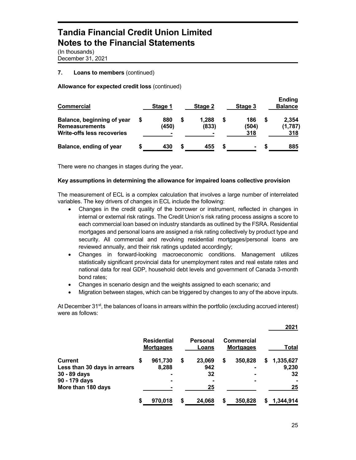(In thousands) December 31, 2021

### **7. Loans to members** (continued)

**Allowance for expected credit loss** (continued)

| <b>Commercial</b>                                                                        | Stage 1           |   | Stage 2        |   | Stage 3                  |   | <b>Ending</b><br><b>Balance</b> |
|------------------------------------------------------------------------------------------|-------------------|---|----------------|---|--------------------------|---|---------------------------------|
| Balance, beginning of year<br><b>Remeasurements</b><br><b>Write-offs less recoveries</b> | 880<br>(450)<br>- | S | 1.288<br>(833) |   | 186<br>(504)<br>318      | S | 2,354<br>(1,787)<br>318         |
| Balance, ending of year                                                                  | 430               | S | 455            | S | $\overline{\phantom{a}}$ | S | 885                             |

There were no changes in stages during the year**.** 

### **Key assumptions in determining the allowance for impaired loans collective provision**

The measurement of ECL is a complex calculation that involves a large number of interrelated variables. The key drivers of changes in ECL include the following:

- Changes in the credit quality of the borrower or instrument, reflected in changes in internal or external risk ratings. The Credit Union's risk rating process assigns a score to each commercial loan based on industry standards as outlined by the FSRA. Residential mortgages and personal loans are assigned a risk rating collectively by product type and security. All commercial and revolving residential mortgages/personal loans are reviewed annually, and their risk ratings updated accordingly;
- Changes in forward-looking macroeconomic conditions. Management utilizes statistically significant provincial data for unemployment rates and real estate rates and national data for real GDP, household debt levels and government of Canada 3-month bond rates;
- Changes in scenario design and the weights assigned to each scenario; and
- Migration between stages, which can be triggered by changes to any of the above inputs.

At December 31<sup>st</sup>, the balances of loans in arrears within the portfolio (excluding accrued interest) were as follows:

|                              |                                        |                   |                                       |    | 2021         |
|------------------------------|----------------------------------------|-------------------|---------------------------------------|----|--------------|
|                              | <b>Residential</b><br><b>Mortgages</b> | Personal<br>Loans | <b>Commercial</b><br><b>Mortgages</b> |    | <b>Total</b> |
| Current                      | \$<br>961,730                          | \$<br>23,069      | \$<br>350,828                         | \$ | 1,335,627    |
| Less than 30 days in arrears | 8,288                                  | 942               |                                       |    | 9,230        |
| 30 - 89 days                 |                                        | 32                |                                       |    | 32           |
| 90 - 179 days                |                                        |                   |                                       |    |              |
| More than 180 days           |                                        | 25                |                                       |    | 25           |
|                              | \$<br>970,018                          | \$<br>24,068      | 350,828                               | S  | 1,344,914    |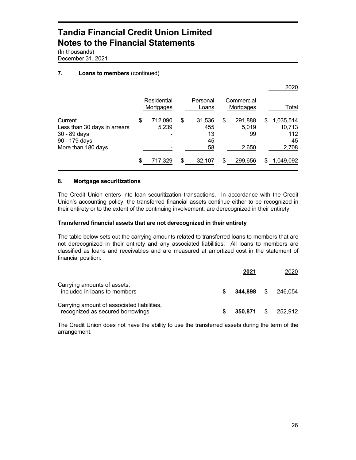(In thousands) December 31, 2021

### **7. Loans to members** (continued)

|                                                                                                |    |                          |                                       |    |                                 |   | 2020                                      |
|------------------------------------------------------------------------------------------------|----|--------------------------|---------------------------------------|----|---------------------------------|---|-------------------------------------------|
|                                                                                                |    | Residential<br>Mortgages | Personal<br>Loans                     |    | Commercial<br>Mortgages         |   | Total                                     |
| Current<br>Less than 30 days in arrears<br>30 - 89 days<br>90 - 179 days<br>More than 180 days | S  | 712,090<br>5,239         | \$<br>31,536<br>455<br>13<br>45<br>58 | S  | 291,888<br>5,019<br>99<br>2,650 | S | 1,035,514<br>10,713<br>112<br>45<br>2,708 |
|                                                                                                | \$ | 717,329                  | \$<br>32,107                          | \$ | 299,656                         | S | 1,049,092                                 |

### **8. Mortgage securitizations**

The Credit Union enters into loan securitization transactions. In accordance with the Credit Union's accounting policy, the transferred financial assets continue either to be recognized in their entirety or to the extent of the continuing involvement, are derecognized in their entirety.

### **Transferred financial assets that are not derecognized in their entirety**

The table below sets out the carrying amounts related to transferred loans to members that are not derecognized in their entirety and any associated liabilities. All loans to members are classified as loans and receivables and are measured at amortized cost in the statement of financial position.

|                                                                                |   | 2021 | 2020                      |
|--------------------------------------------------------------------------------|---|------|---------------------------|
| Carrying amounts of assets,<br>included in loans to members                    | S |      | <b>344,898</b> \$ 246,054 |
| Carrying amount of associated liabilities,<br>recognized as secured borrowings |   |      | <b>350.871</b> \$ 252.912 |

The Credit Union does not have the ability to use the transferred assets during the term of the arrangement.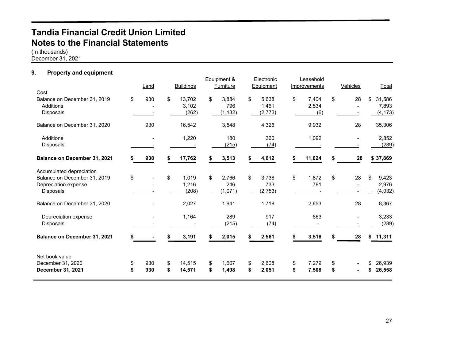(In thousands) December 31, 2021

### **9. Property and equipment**

|                                     |          |      |          |                  |    | Equipment &      | Electronic  |          | Leasehold    |          |                          |                        |
|-------------------------------------|----------|------|----------|------------------|----|------------------|-------------|----------|--------------|----------|--------------------------|------------------------|
|                                     |          | Land |          | <b>Buildings</b> |    | <b>Furniture</b> | Equipment   |          | Improvements |          | Vehicles                 | Total                  |
| Cost                                |          |      |          |                  |    |                  |             |          |              |          |                          |                        |
| Balance on December 31, 2019        | \$       | 930  | \$       | 13.702           | \$ | 3.884            | \$<br>5,638 | \$       | 7,404        | \$       | 28                       | \$<br>31,586           |
| Additions                           |          |      |          | 3,102            |    | 796              | 1,461       |          | 2,534        |          | $\blacksquare$           | 7,893                  |
| <b>Disposals</b>                    |          |      |          | (262)            |    | (1, 132)         | (2, 773)    |          | (6)          |          |                          | (4, 173)               |
| Balance on December 31, 2020        |          | 930  |          | 16,542           |    | 3,548            | 4,326       |          | 9,932        |          | 28                       | 35,306                 |
| Additions                           |          |      |          | 1,220            |    | 180              | 360         |          | 1,092        |          |                          | 2,852                  |
| <b>Disposals</b>                    |          |      |          |                  |    | (215)            | (74)        |          |              |          |                          | (289)                  |
| Balance on December 31, 2021        | \$       | 930  |          | 17,762           | S. | 3,513            | \$<br>4,612 |          | 11,024       | \$       | 28                       | \$37,869               |
| Accumulated depreciation            |          |      |          |                  |    |                  |             |          |              |          |                          |                        |
| Balance on December 31, 2019        | \$       |      | \$       | 1.019            | \$ | 2.766            | \$<br>3.738 | \$       | 1,872        | \$       | 28                       | \$<br>9,423            |
| Depreciation expense                |          |      |          | 1,216            |    | 246              | 733         |          | 781          |          | $\blacksquare$           | 2,976                  |
| Disposals                           |          |      |          | (208)            |    | (1,071)          | (2,753)     |          |              |          | $\overline{\phantom{0}}$ | (4,032)                |
| Balance on December 31, 2020        |          |      |          | 2,027            |    | 1,941            | 1,718       |          | 2,653        |          | 28                       | 8,367                  |
| Depreciation expense                |          |      |          | 1,164            |    | 289              | 917         |          | 863          |          |                          | 3,233                  |
| <b>Disposals</b>                    |          |      |          |                  |    | (215)            | (74)        |          |              |          |                          | (289)                  |
| Balance on December 31, 2021        |          |      |          | 3,191            |    | 2,015            | 2,561       |          | 3,516        | \$       | 28                       | \$11,311               |
|                                     |          |      |          |                  |    |                  |             |          |              |          |                          |                        |
| Net book value<br>December 31, 2020 |          | 930  |          | 14,515           | \$ | 1,607            | \$<br>2,608 |          | 7,279        |          |                          | \$                     |
| December 31, 2021                   | \$<br>\$ | 930  | \$<br>\$ | 14,571           | \$ | 1,498            | \$<br>2,051 | \$<br>\$ | 7,508        | \$<br>\$ |                          | \$<br>26,939<br>26,558 |
|                                     |          |      |          |                  |    |                  |             |          |              |          |                          |                        |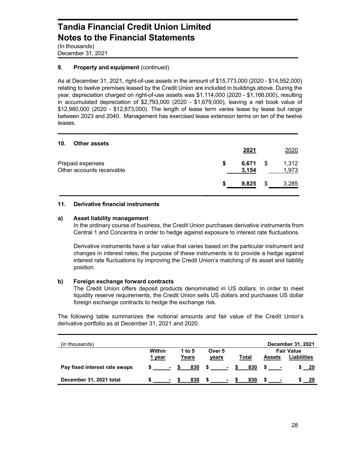(In thousands) December 31, 2021

### **9.** Property and equipment (continued)

As at December 31, 2021, right-of-use assets in the amount of \$15,773,000 (2020 - \$14,552,000) relating to twelve premises leased by the Credit Union are included in buildings above. During the year, depreciation charged on right-of-use assets was \$1,114,000 (2020 - \$1,166,000), resulting in accumulated depreciation of \$2,793,000 (2020 - \$1,679,000), leaving a net book value of \$12,980,000 (2020 - \$12,873,000). The length of lease term varies lease by lease but range between 2023 and 2040. Management has exercised lease extension terms on ten of the twelve leases.

### **10. Other assets**

|                                               | 2021                | 2020           |
|-----------------------------------------------|---------------------|----------------|
| Prepaid expenses<br>Other accounts receivable | $6,671$ \$<br>3.154 | 1,312<br>1.973 |
|                                               | 9.825               | \$<br>3,285    |

### **11. Derivative financial instruments**

### **a) Asset liability management**

In the ordinary course of business, the Credit Union purchases derivative instruments from Central 1 and Concentra in order to hedge against exposure to interest rate fluctuations.

Derivative instruments have a fair value that varies based on the particular instrument and changes in interest rates; the purpose of these instruments is to provide a hedge against interest rate fluctuations by improving the Credit Union's matching of its asset and liability position.

### **b) Foreign exchange forward contracts**

The Credit Union offers deposit products denominated in US dollars. In order to meet liquidity reserve requirements, the Credit Union sells US dollars and purchases US dollar foreign exchange contracts to hedge the exchange risk.

The following table summarizes the notional amounts and fair value of the Credit Union's derivative portfolio as at December 31, 2021 and 2020.

| (in thousands)                |               |                |        |       |        |               |     |             |  | December 31, 2021 |  |
|-------------------------------|---------------|----------------|--------|-------|--------|---------------|-----|-------------|--|-------------------|--|
|                               | <b>Within</b> |                | 1 to 5 |       | Over 5 |               |     |             |  | <b>Fair Value</b> |  |
|                               | 1 year        | Years<br>years |        | Total |        | <b>Assets</b> |     | Liabilities |  |                   |  |
| Pay fixed interest rate swaps |               | D.             | 830    | S.    |        | $- S$         | 830 | S.          |  |                   |  |
| December 31, 2021 total       |               |                | 830    | - SS  | ۰.     |               | 830 |             |  |                   |  |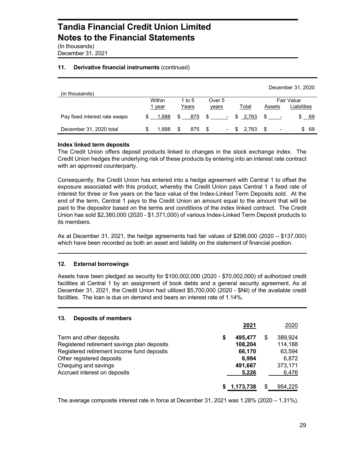(In thousands) December 31, 2021

### **11. Derivative financial instruments** (continued)

| (in thousands)                |                        |                 |                 |              |                      | December 31, 2020         |
|-------------------------------|------------------------|-----------------|-----------------|--------------|----------------------|---------------------------|
|                               | Within<br>1 year       | 1 to 5<br>Years | Over 5<br>years | Total        | Assets               | Fair Value<br>∟iabilities |
| Pay fixed interest rate swaps | 1.888<br>$\mathcal{S}$ | \$<br>875       | $\frac{1}{2}$   | $-$ \$ 2,763 | \$                   | 69                        |
| December 31, 2020 total       | 1.888<br>S             | 875             | - \$<br>۰.      | \$ 2.763     | \$<br>$\blacksquare$ | 69<br>S.                  |

### **Index linked term deposits**

The Credit Union offers deposit products linked to changes in the stock exchange index. The Credit Union hedges the underlying risk of these products by entering into an interest rate contract with an approved counterparty.

Consequently, the Credit Union has entered into a hedge agreement with Central 1 to offset the exposure associated with this product, whereby the Credit Union pays Central 1 a fixed rate of interest for three or five years on the face value of the Index-Linked Term Deposits sold. At the end of the term, Central 1 pays to the Credit Union an amount equal to the amount that will be paid to the depositor based on the terms and conditions of the index linked contract. The Credit Union has sold \$2,380,000 (2020 - \$1,371,000) of various Index-Linked Term Deposit products to its members.

As at December 31, 2021, the hedge agreements had fair values of \$298,000 (2020 – \$137,000) which have been recorded as both an asset and liability on the statement of financial position.

### **12. External borrowings**

Assets have been pledged as security for \$100,002,000 (2020 - \$70,002,000) of authorized credit facilities at Central 1 by an assignment of book debts and a general security agreement. As at December 31, 2021, the Credit Union had utilized \$5,700,000 (2020 - \$Nil) of the available credit facilities. The loan is due on demand and bears an interest rate of 1.14%.

### **13. Deposits of members**

|                                             |   | 2021        |    | 2020    |
|---------------------------------------------|---|-------------|----|---------|
| Term and other deposits                     | S | 495.477     | S  | 389,924 |
| Registered retirement savings plan deposits |   | 108,204     |    | 114,188 |
| Registered retirement income fund deposits  |   | 66,170      |    | 63,594  |
| Other registered deposits                   |   | 6,994       |    | 6,872   |
| Chequing and savings                        |   | 491,667     |    | 373,171 |
| Accrued interest on deposits                |   | 5.226       |    | 6,476   |
|                                             |   | \$1,173,738 | \$ | 954,225 |

The average composite interest rate in force at December 31, 2021 was 1.28% (2020 – 1.31%).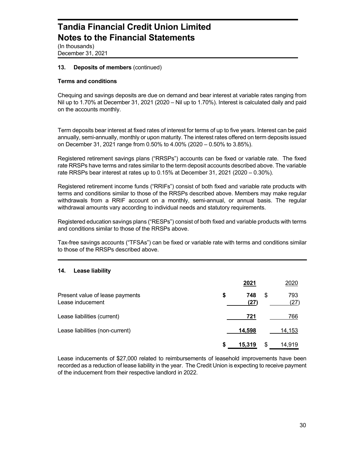(In thousands) December 31, 2021

### **13. Deposits of members** (continued)

### **Terms and conditions**

Chequing and savings deposits are due on demand and bear interest at variable rates ranging from Nil up to 1.70% at December 31, 2021 (2020 – Nil up to 1.70%). Interest is calculated daily and paid on the accounts monthly.

Term deposits bear interest at fixed rates of interest for terms of up to five years. Interest can be paid annually, semi-annually, monthly or upon maturity. The interest rates offered on term deposits issued on December 31, 2021 range from 0.50% to 4.00% (2020 – 0.50% to 3.85%).

Registered retirement savings plans ("RRSPs") accounts can be fixed or variable rate. The fixed rate RRSPs have terms and rates similar to the term deposit accounts described above. The variable rate RRSPs bear interest at rates up to 0.15% at December 31, 2021 (2020 – 0.30%).

Registered retirement income funds ("RRIFs") consist of both fixed and variable rate products with terms and conditions similar to those of the RRSPs described above. Members may make regular withdrawals from a RRIF account on a monthly, semi-annual, or annual basis. The regular withdrawal amounts vary according to individual needs and statutory requirements.

Registered education savings plans ("RESPs") consist of both fixed and variable products with terms and conditions similar to those of the RRSPs above.

Tax-free savings accounts ("TFSAs") can be fixed or variable rate with terms and conditions similar to those of the RRSPs described above.

#### **14. Lease liability**

|                                                     | 2021              |     | 2020        |
|-----------------------------------------------------|-------------------|-----|-------------|
| Present value of lease payments<br>Lease inducement | \$<br>748<br>(27) | \$. | 793<br>(27) |
| Lease liabilities (current)                         | 721               |     | 766         |
| Lease liabilities (non-current)                     | 14,598            |     | 14,153      |
|                                                     | \$<br>15,319      | \$  | 14,919      |

Lease inducements of \$27,000 related to reimbursements of leasehold improvements have been recorded as a reduction of lease liability in the year. The Credit Union is expecting to receive payment of the inducement from their respective landlord in 2022.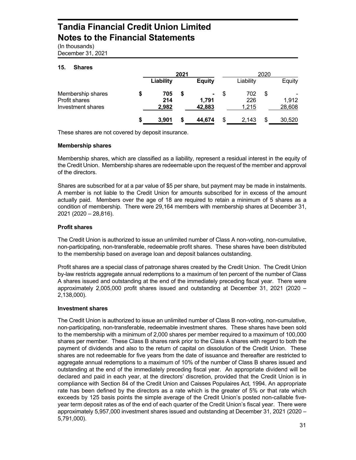(In thousands) December 31, 2021

### **15. Shares**

|                                                         |                     | 2021 |                                   |   |                     | 2020 |                 |
|---------------------------------------------------------|---------------------|------|-----------------------------------|---|---------------------|------|-----------------|
|                                                         | Liability           |      | <b>Equity</b>                     |   | Liability           |      | Equity          |
| Membership shares<br>Profit shares<br>Investment shares | 705<br>214<br>2,982 |      | $\blacksquare$<br>1,791<br>42,883 | S | 702<br>226<br>1,215 | S    | 1,912<br>28,608 |
|                                                         | \$<br>3.901         | S    | 44,674                            | S | 2.143               | \$   | 30,520          |

These shares are not covered by deposit insurance.

### **Membership shares**

Membership shares, which are classified as a liability, represent a residual interest in the equity of the Credit Union. Membership shares are redeemable upon the request of the member and approval of the directors.

Shares are subscribed for at a par value of \$5 per share, but payment may be made in instalments. A member is not liable to the Credit Union for amounts subscribed for in excess of the amount actually paid. Members over the age of 18 are required to retain a minimum of 5 shares as a condition of membership. There were 29,164 members with membership shares at December 31, 2021 (2020 – 28,816).

### **Profit shares**

The Credit Union is authorized to issue an unlimited number of Class A non-voting, non-cumulative, non-participating, non-transferable, redeemable profit shares. These shares have been distributed to the membership based on average loan and deposit balances outstanding.

Profit shares are a special class of patronage shares created by the Credit Union. The Credit Union by-law restricts aggregate annual redemptions to a maximum of ten percent of the number of Class A shares issued and outstanding at the end of the immediately preceding fiscal year. There were approximately 2,005,000 profit shares issued and outstanding at December 31, 2021 (2020 – 2,138,000).

### **Investment shares**

The Credit Union is authorized to issue an unlimited number of Class B non-voting, non-cumulative, non-participating, non-transferable, redeemable investment shares. These shares have been sold to the membership with a minimum of 2,000 shares per member required to a maximum of 100,000 shares per member. These Class B shares rank prior to the Class A shares with regard to both the payment of dividends and also to the return of capital on dissolution of the Credit Union. These shares are not redeemable for five years from the date of issuance and thereafter are restricted to aggregate annual redemptions to a maximum of 10% of the number of Class B shares issued and outstanding at the end of the immediately preceding fiscal year. An appropriate dividend will be declared and paid in each year, at the directors' discretion, provided that the Credit Union is in compliance with Section 84 of the Credit Union and Caisses Populaires Act, 1994. An appropriate rate has been defined by the directors as a rate which is the greater of 5% or that rate which exceeds by 125 basis points the simple average of the Credit Union's posted non-callable fiveyear term deposit rates as of the end of each quarter of the Credit Union's fiscal year. There were approximately 5,957,000 investment shares issued and outstanding at December 31, 2021 (2020 – 5,791,000).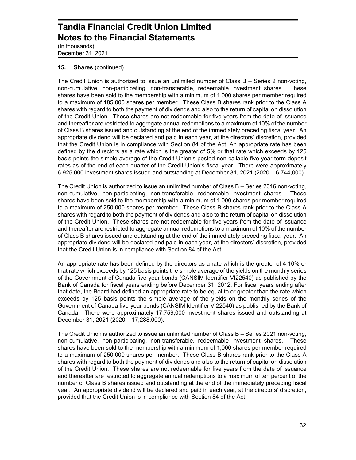(In thousands) December 31, 2021

### **15. Shares** (continued)

The Credit Union is authorized to issue an unlimited number of Class B – Series 2 non-voting, non-cumulative, non-participating, non-transferable, redeemable investment shares. These shares have been sold to the membership with a minimum of 1,000 shares per member required to a maximum of 185,000 shares per member. These Class B shares rank prior to the Class A shares with regard to both the payment of dividends and also to the return of capital on dissolution of the Credit Union. These shares are not redeemable for five years from the date of issuance and thereafter are restricted to aggregate annual redemptions to a maximum of 10% of the number of Class B shares issued and outstanding at the end of the immediately preceding fiscal year. An appropriate dividend will be declared and paid in each year, at the directors' discretion, provided that the Credit Union is in compliance with Section 84 of the Act. An appropriate rate has been defined by the directors as a rate which is the greater of 5% or that rate which exceeds by 125 basis points the simple average of the Credit Union's posted non-callable five-year term deposit rates as of the end of each quarter of the Credit Union's fiscal year. There were approximately 6,925,000 investment shares issued and outstanding at December 31, 2021 (2020 – 6,744,000).

The Credit Union is authorized to issue an unlimited number of Class B – Series 2016 non-voting, non-cumulative, non-participating, non-transferable, redeemable investment shares. These shares have been sold to the membership with a minimum of 1,000 shares per member required to a maximum of 250,000 shares per member. These Class B shares rank prior to the Class A shares with regard to both the payment of dividends and also to the return of capital on dissolution of the Credit Union. These shares are not redeemable for five years from the date of issuance and thereafter are restricted to aggregate annual redemptions to a maximum of 10% of the number of Class B shares issued and outstanding at the end of the immediately preceding fiscal year. An appropriate dividend will be declared and paid in each year, at the directors' discretion, provided that the Credit Union is in compliance with Section 84 of the Act.

An appropriate rate has been defined by the directors as a rate which is the greater of 4.10% or that rate which exceeds by 125 basis points the simple average of the yields on the monthly series of the Government of Canada five-year bonds (CANSIM Identifier VI22540) as published by the Bank of Canada for fiscal years ending before December 31, 2012. For fiscal years ending after that date, the Board had defined an appropriate rate to be equal to or greater than the rate which exceeds by 125 basis points the simple average of the yields on the monthly series of the Government of Canada five-year bonds (CANSIM Identifier VI22540) as published by the Bank of Canada. There were approximately 17,759,000 investment shares issued and outstanding at December 31, 2021 (2020 – 17,288,000).

The Credit Union is authorized to issue an unlimited number of Class B – Series 2021 non-voting, non-cumulative, non-participating, non-transferable, redeemable investment shares. These shares have been sold to the membership with a minimum of 1,000 shares per member required to a maximum of 250,000 shares per member. These Class B shares rank prior to the Class A shares with regard to both the payment of dividends and also to the return of capital on dissolution of the Credit Union. These shares are not redeemable for five years from the date of issuance and thereafter are restricted to aggregate annual redemptions to a maximum of ten percent of the number of Class B shares issued and outstanding at the end of the immediately preceding fiscal year. An appropriate dividend will be declared and paid in each year, at the directors' discretion, provided that the Credit Union is in compliance with Section 84 of the Act.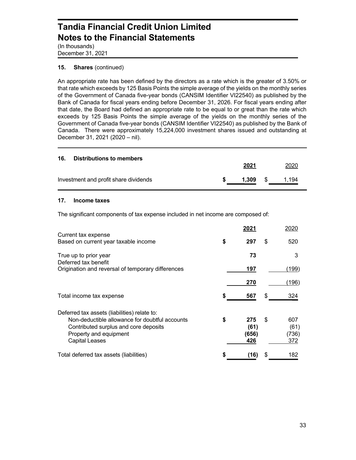(In thousands) December 31, 2021

### **15. Shares** (continued)

An appropriate rate has been defined by the directors as a rate which is the greater of 3.50% or that rate which exceeds by 125 Basis Points the simple average of the yields on the monthly series of the Government of Canada five-year bonds (CANSIM Identifier VI22540) as published by the Bank of Canada for fiscal years ending before December 31, 2026. For fiscal years ending after that date, the Board had defined an appropriate rate to be equal to or great than the rate which exceeds by 125 Basis Points the simple average of the yields on the monthly series of the Government of Canada five-year bonds (CANSIM Identifier VI22540) as published by the Bank of Canada. There were approximately 15,224,000 investment shares issued and outstanding at December 31, 2021 (2020 – nil).

| 16. Distributions to members          |    | 2021       | 2020  |
|---------------------------------------|----|------------|-------|
| Investment and profit share dividends | S. | $1,309$ \$ | 1,194 |

### **17. Income taxes**

The significant components of tax expense included in net income are composed of:

|                                                                                                                                                                                            |    | 2021                        |    | 2020                        |
|--------------------------------------------------------------------------------------------------------------------------------------------------------------------------------------------|----|-----------------------------|----|-----------------------------|
| Current tax expense<br>Based on current year taxable income                                                                                                                                | \$ | 297                         | \$ | 520                         |
| True up to prior year<br>Deferred tax benefit                                                                                                                                              |    | 73                          |    | 3                           |
| Origination and reversal of temporary differences                                                                                                                                          |    | 197                         |    | <u>(199)</u>                |
|                                                                                                                                                                                            |    | 270                         |    | (196)                       |
| Total income tax expense                                                                                                                                                                   | S  | 567                         | \$ | 324                         |
| Deferred tax assets (liabilities) relate to:<br>Non-deductible allowance for doubtful accounts<br>Contributed surplus and core deposits<br>Property and equipment<br><b>Capital Leases</b> | \$ | 275<br>(61)<br>(656)<br>426 | \$ | 607<br>(61)<br>(736)<br>372 |
| Total deferred tax assets (liabilities)                                                                                                                                                    |    | (16)                        | S  | 182                         |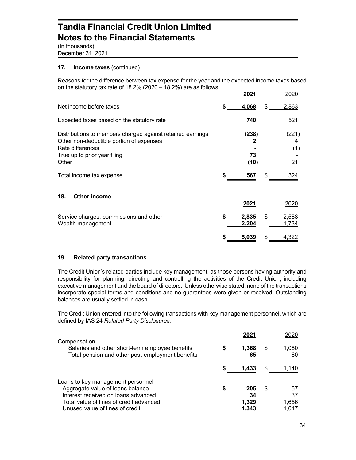(In thousands) December 31, 2021

### **17. Income taxes** (continued)

Reasons for the difference between tax expense for the year and the expected income taxes based on the statutory tax rate of 18.2% (2020 – 18.2%) are as follows:

|                                                                                                                                                                     | 2021                     | 2020                    |
|---------------------------------------------------------------------------------------------------------------------------------------------------------------------|--------------------------|-------------------------|
| Net income before taxes                                                                                                                                             | \$<br>4,068              | \$<br>2,863             |
| Expected taxes based on the statutory rate                                                                                                                          | 740                      | 521                     |
| Distributions to members charged against retained earnings<br>Other non-deductible portion of expenses<br>Rate differences<br>True up to prior year filing<br>Other | (238)<br>2<br>73<br>(10) | (221)<br>4<br>(1)<br>21 |
| Total income tax expense                                                                                                                                            | \$<br>567                | \$<br>324               |
| Other income<br>18.                                                                                                                                                 | 2021                     | 2020                    |
| Service charges, commissions and other<br>Wealth management                                                                                                         | \$<br>2,835<br>2,204     | \$<br>2,588<br>1,734    |
|                                                                                                                                                                     | \$<br>5,039              | \$<br>4,322             |

### **19. Related party transactions**

The Credit Union's related parties include key management, as those persons having authority and responsibility for planning, directing and controlling the activities of the Credit Union, including executive management and the board of directors. Unless otherwise stated, none of the transactions incorporate special terms and conditions and no guarantees were given or received. Outstanding balances are usually settled in cash.

The Credit Union entered into the following transactions with key management personnel, which are defined by IAS 24 *Related Party Disclosures.*

| Compensation                                                                                                                                                                               |                             |   | 2020                       |
|--------------------------------------------------------------------------------------------------------------------------------------------------------------------------------------------|-----------------------------|---|----------------------------|
| Salaries and other short-term employee benefits<br>Total pension and other post-employment benefits                                                                                        | 1,368<br>65                 | S | 1,080<br>60                |
|                                                                                                                                                                                            | 1,433                       | S | 1,140                      |
| Loans to key management personnel<br>Aggregate value of loans balance<br>Interest received on loans advanced<br>Total value of lines of credit advanced<br>Unused value of lines of credit | 205<br>34<br>1,329<br>1,343 | S | 57<br>37<br>1,656<br>1.017 |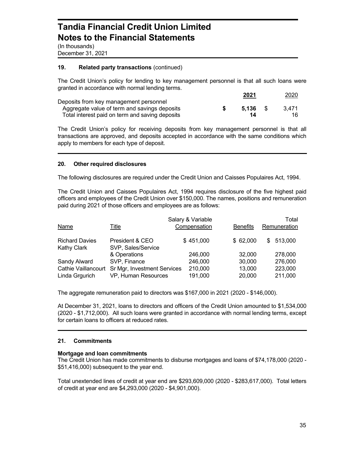(In thousands) December 31, 2021

### **19. Related party transactions** (continued)

The Credit Union's policy for lending to key management personnel is that all such loans were granted in accordance with normal lending terms.

|                                                 | 2021       | 2020  |
|-------------------------------------------------|------------|-------|
| Deposits from key management personnel          |            |       |
| Aggregate value of term and savings deposits    | $5.136$ \$ | 3.471 |
| Total interest paid on term and saving deposits | 14         |       |

The Credit Union's policy for receiving deposits from key management personnel is that all transactions are approved, and deposits accepted in accordance with the same conditions which apply to members for each type of deposit.

### **20. Other required disclosures**

The following disclosures are required under the Credit Union and Caisses Populaires Act, 1994.

The Credit Union and Caisses Populaires Act, 1994 requires disclosure of the five highest paid officers and employees of the Credit Union over \$150,000. The names, positions and remuneration paid during 2021 of those officers and employees are as follows:

| Name                                        | <u>Title</u>                          | Salary & Variable<br>Compensation | <b>Benefits</b> | Total<br>Remuneration |
|---------------------------------------------|---------------------------------------|-----------------------------------|-----------------|-----------------------|
| <b>Richard Davies</b><br><b>Kathy Clark</b> | President & CEO<br>SVP, Sales/Service | \$451,000                         | \$62,000        | \$513,000             |
|                                             | & Operations                          | 246,000                           | 32,000          | 278,000               |
| Sandy Alward                                | SVP, Finance                          | 246,000                           | 30,000          | 276,000               |
| Cathie Vaillancourt                         | Sr Mgr, Investment Services           | 210,000                           | 13,000          | 223,000               |
| Linda Grgurich                              | VP, Human Resources                   | 191,000                           | 20,000          | 211,000               |

The aggregate remuneration paid to directors was \$167,000 in 2021 (2020 - \$146,000).

At December 31, 2021, loans to directors and officers of the Credit Union amounted to \$1,534,000 (2020 - \$1,712,000). All such loans were granted in accordance with normal lending terms, except for certain loans to officers at reduced rates.

### **21. Commitments**

### **Mortgage and loan commitments**

The Credit Union has made commitments to disburse mortgages and loans of \$74,178,000 (2020 - \$51,416,000) subsequent to the year end.

Total unextended lines of credit at year end are \$293,609,000 (2020 - \$283,617,000). Total letters of credit at year end are \$4,293,000 (2020 - \$4,901,000).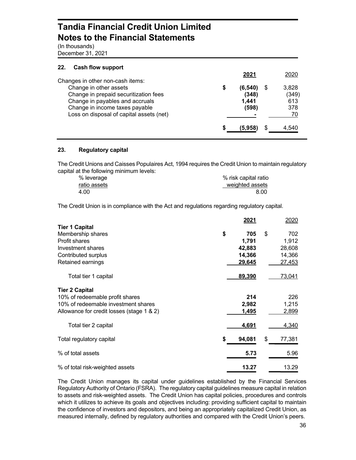(In thousands) December 31, 2021

| 22.<br>Cash flow support                 |          |             |
|------------------------------------------|----------|-------------|
|                                          | 2021     | 2020        |
| Changes in other non-cash items:         |          |             |
| Change in other assets                   | (6, 540) | \$<br>3,828 |
| Change in prepaid securitization fees    | (348)    | (349)       |
| Change in payables and accruals          | 1,441    | 613         |
| Change in income taxes payable           | (598)    | 378         |
| Loss on disposal of capital assets (net) |          | 70          |
|                                          | (5,958)  | \$<br>4.540 |

### **23. Regulatory capital**

The Credit Unions and Caisses Populaires Act, 1994 requires the Credit Union to maintain regulatory capital at the following minimum levels:

| % leverage   | % risk capital ratio |
|--------------|----------------------|
| ratio assets | weighted assets      |
| 4.00         | 8.00                 |

The Credit Union is in compliance with the Act and regulations regarding regulatory capital.

|                                           | 2021         | <u> 2020</u> |
|-------------------------------------------|--------------|--------------|
| <b>Tier 1 Capital</b>                     |              |              |
| Membership shares                         | \$<br>705    | \$<br>702    |
| Profit shares                             | 1,791        | 1,912        |
| Investment shares                         | 42,883       | 28,608       |
| Contributed surplus                       | 14,366       | 14,366       |
| Retained earnings                         | 29,645       | 27,453       |
| Total tier 1 capital                      | 89,390       | 73,041       |
| <b>Tier 2 Capital</b>                     |              |              |
| 10% of redeemable profit shares           | 214          | 226          |
| 10% of redeemable investment shares       | 2,982        | 1,215        |
| Allowance for credit losses (stage 1 & 2) | 1,495        | 2,899        |
| Total tier 2 capital                      | 4,691        | 4,340        |
| Total regulatory capital                  | 94,081<br>\$ | \$<br>77,381 |
| % of total assets                         | 5.73         | 5.96         |
| % of total risk-weighted assets           | 13.27        | 13.29        |

The Credit Union manages its capital under guidelines established by the Financial Services Regulatory Authority of Ontario (FSRA). The regulatory capital guidelines measure capital in relation to assets and risk-weighted assets. The Credit Union has capital policies, procedures and controls which it utilizes to achieve its goals and objectives including: providing sufficient capital to maintain the confidence of investors and depositors, and being an appropriately capitalized Credit Union, as measured internally, defined by regulatory authorities and compared with the Credit Union's peers.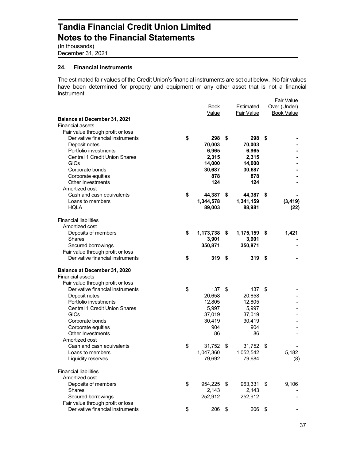(In thousands) December 31, 2021

### **24. Financial instruments**

The estimated fair values of the Credit Union's financial instruments are set out below. No fair values have been determined for property and equipment or any other asset that is not a financial instrument.

| Balance at December 31, 2021<br><b>Financial assets</b>                                                                                                                                                                                                       | <b>Book</b><br>Value                                                    |              | Estimated<br><b>Fair Value</b>                                    |      | <b>Fair Value</b><br>Over (Under)<br><b>Book Value</b> |
|---------------------------------------------------------------------------------------------------------------------------------------------------------------------------------------------------------------------------------------------------------------|-------------------------------------------------------------------------|--------------|-------------------------------------------------------------------|------|--------------------------------------------------------|
| Fair value through profit or loss<br>Derivative financial instruments<br>Deposit notes<br>Portfolio investments<br><b>Central 1 Credit Union Shares</b><br><b>GICs</b><br>Corporate bonds<br>Corporate equities<br><b>Other Investments</b><br>Amortized cost | \$<br>298<br>70,003<br>6,965<br>2,315<br>14,000<br>30,687<br>878<br>124 | \$           | 298<br>70,003<br>6,965<br>2,315<br>14,000<br>30,687<br>878<br>124 | S    |                                                        |
| Cash and cash equivalents<br>Loans to members<br><b>HQLA</b>                                                                                                                                                                                                  | \$<br>44,387 \$<br>1,344,578<br>89,003                                  |              | 44,387 \$<br>1,341,159<br>88,981                                  |      | (3, 419)<br>(22)                                       |
| <b>Financial liabilities</b>                                                                                                                                                                                                                                  |                                                                         |              |                                                                   |      |                                                        |
| Amortized cost<br>Deposits of members<br><b>Shares</b><br>Secured borrowings<br>Fair value through profit or loss                                                                                                                                             | \$<br>1,173,738 \$<br>3,901<br>350,871                                  |              | 1,175,159<br>3,901<br>350,871                                     | \$   | 1,421                                                  |
| Derivative financial instruments                                                                                                                                                                                                                              | \$<br>319                                                               | $\mathbf{s}$ | 319                                                               | - \$ |                                                        |
| Balance at December 31, 2020<br><b>Financial assets</b><br>Fair value through profit or loss                                                                                                                                                                  |                                                                         |              |                                                                   |      |                                                        |
| Derivative financial instruments<br>Deposit notes<br>Portfolio investments<br><b>Central 1 Credit Union Shares</b><br><b>GICs</b><br>Corporate bonds<br>Corporate equities<br>Other Investments<br>Amortized cost                                             | \$<br>137<br>20,658<br>12,805<br>5,997<br>37,019<br>30,419<br>904<br>86 | \$           | 137<br>20,658<br>12,805<br>5,997<br>37,019<br>30,419<br>904<br>86 | \$   |                                                        |
| Cash and cash equivalents<br>Loans to members<br>Liquidity reserves                                                                                                                                                                                           | \$<br>31,752<br>1,047,360<br>79,692                                     | \$           | 31,752<br>1,052,542<br>79,684                                     | \$   | 5,182<br>(8)                                           |
| <b>Financial liabilities</b>                                                                                                                                                                                                                                  |                                                                         |              |                                                                   |      |                                                        |
| Amortized cost<br>Deposits of members<br>Shares<br>Secured borrowings<br>Fair value through profit or loss                                                                                                                                                    | \$<br>954,225<br>2,143<br>252,912                                       | \$           | 963,331<br>2,143<br>252,912                                       | \$   | 9,106                                                  |
| Derivative financial instruments                                                                                                                                                                                                                              | \$<br>206                                                               | \$           | 206                                                               | \$   |                                                        |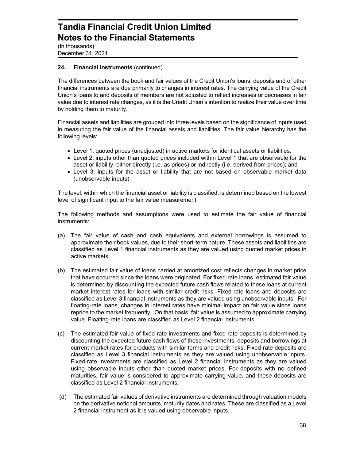(In thousands) December 31, 2021

### **24. Financial instruments** (continued)

The differences between the book and fair values of the Credit Union's loans, deposits and of other financial instruments are due primarily to changes in interest rates. The carrying value of the Credit Union's loans to and deposits of members are not adjusted to reflect increases or decreases in fair value due to interest rate changes, as it is the Credit Union's intention to realize their value over time by holding them to maturity.

Financial assets and liabilities are grouped into three levels based on the significance of inputs used in measuring the fair value of the financial assets and liabilities. The fair value hierarchy has the following levels:

- Level 1: quoted prices (unadjusted) in active markets for identical assets or liabilities;
- Level 2: inputs other than quoted prices included within Level 1 that are observable for the asset or liability, either directly (i.e. as prices) or indirectly (i.e. derived from prices); and
- Level 3: inputs for the asset or liability that are not based on observable market data (unobservable inputs).

The level, within which the financial asset or liability is classified, is determined based on the lowest level of significant input to the fair value measurement.

The following methods and assumptions were used to estimate the fair value of financial instruments:

- (a) The fair value of cash and cash equivalents and external borrowings is assumed to approximate their book values, due to their short-term nature. These assets and liabilities are classified as Level 1 financial instruments as they are valued using quoted market prices in active markets.
- (b) The estimated fair value of loans carried at amortized cost reflects changes in market price that have occurred since the loans were originated. For fixed-rate loans, estimated fair value is determined by discounting the expected future cash flows related to these loans at current market interest rates for loans with similar credit risks. Fixed-rate loans and deposits are classified as Level 3 financial instruments as they are valued using unobservable inputs. For floating-rate loans, changes in interest rates have minimal impact on fair value since loans reprice to the market frequently. On that basis, fair value is assumed to approximate carrying value. Floating-rate loans are classified as Level 2 financial instruments.
- (c) The estimated fair value of fixed-rate investments and fixed-rate deposits is determined by discounting the expected future cash flows of these investments, deposits and borrowings at current market rates for products with similar terms and credit risks. Fixed-rate deposits are classified as Level 3 financial instruments as they are valued using unobservable inputs. Fixed-rate investments are classified as Level 2 financial instruments as they are valued using observable inputs other than quoted market prices. For deposits with no defined maturities, fair value is considered to approximate carrying value, and these deposits are classified as Level 2 financial instruments.
- (d) The estimated fair values of derivative instruments are determined through valuation models on the derivative notional amounts, maturity dates and rates. These are classified as a Level 2 financial instrument as it is valued using observable inputs.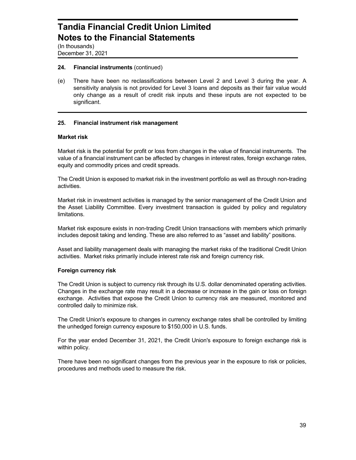(In thousands) December 31, 2021

### **24. Financial instruments** (continued)

(e) There have been no reclassifications between Level 2 and Level 3 during the year. A sensitivity analysis is not provided for Level 3 loans and deposits as their fair value would only change as a result of credit risk inputs and these inputs are not expected to be significant.

### **25. Financial instrument risk management**

#### **Market risk**

Market risk is the potential for profit or loss from changes in the value of financial instruments. The value of a financial instrument can be affected by changes in interest rates, foreign exchange rates, equity and commodity prices and credit spreads.

The Credit Union is exposed to market risk in the investment portfolio as well as through non-trading activities.

Market risk in investment activities is managed by the senior management of the Credit Union and the Asset Liability Committee. Every investment transaction is guided by policy and regulatory limitations.

Market risk exposure exists in non-trading Credit Union transactions with members which primarily includes deposit taking and lending. These are also referred to as "asset and liability" positions.

Asset and liability management deals with managing the market risks of the traditional Credit Union activities. Market risks primarily include interest rate risk and foreign currency risk.

#### **Foreign currency risk**

The Credit Union is subject to currency risk through its U.S. dollar denominated operating activities. Changes in the exchange rate may result in a decrease or increase in the gain or loss on foreign exchange. Activities that expose the Credit Union to currency risk are measured, monitored and controlled daily to minimize risk.

The Credit Union's exposure to changes in currency exchange rates shall be controlled by limiting the unhedged foreign currency exposure to \$150,000 in U.S. funds.

For the year ended December 31, 2021, the Credit Union's exposure to foreign exchange risk is within policy.

There have been no significant changes from the previous year in the exposure to risk or policies, procedures and methods used to measure the risk.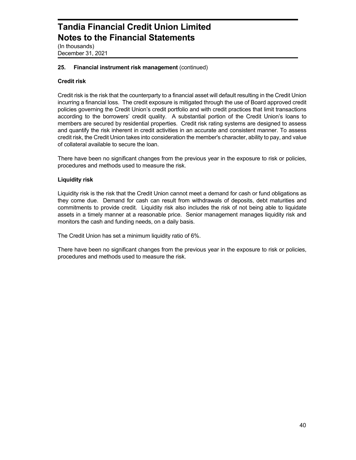(In thousands) December 31, 2021

### **25. Financial instrument risk management** (continued)

### **Credit risk**

Credit risk is the risk that the counterparty to a financial asset will default resulting in the Credit Union incurring a financial loss. The credit exposure is mitigated through the use of Board approved credit policies governing the Credit Union's credit portfolio and with credit practices that limit transactions according to the borrowers' credit quality. A substantial portion of the Credit Union's loans to members are secured by residential properties. Credit risk rating systems are designed to assess and quantify the risk inherent in credit activities in an accurate and consistent manner. To assess credit risk, the Credit Union takes into consideration the member's character, ability to pay, and value of collateral available to secure the loan.

There have been no significant changes from the previous year in the exposure to risk or policies, procedures and methods used to measure the risk.

### **Liquidity risk**

Liquidity risk is the risk that the Credit Union cannot meet a demand for cash or fund obligations as they come due. Demand for cash can result from withdrawals of deposits, debt maturities and commitments to provide credit. Liquidity risk also includes the risk of not being able to liquidate assets in a timely manner at a reasonable price. Senior management manages liquidity risk and monitors the cash and funding needs, on a daily basis.

The Credit Union has set a minimum liquidity ratio of 6%.

There have been no significant changes from the previous year in the exposure to risk or policies, procedures and methods used to measure the risk.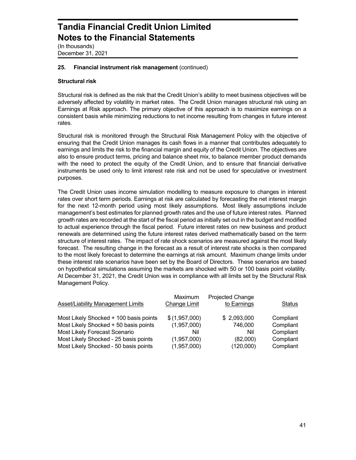(In thousands) December 31, 2021

### **25. Financial instrument risk management** (continued)

### **Structural risk**

Structural risk is defined as the risk that the Credit Union's ability to meet business objectives will be adversely affected by volatility in market rates. The Credit Union manages structural risk using an Earnings at Risk approach. The primary objective of this approach is to maximize earnings on a consistent basis while minimizing reductions to net income resulting from changes in future interest rates.

Structural risk is monitored through the Structural Risk Management Policy with the objective of ensuring that the Credit Union manages its cash flows in a manner that contributes adequately to earnings and limits the risk to the financial margin and equity of the Credit Union. The objectives are also to ensure product terms, pricing and balance sheet mix, to balance member product demands with the need to protect the equity of the Credit Union, and to ensure that financial derivative instruments be used only to limit interest rate risk and not be used for speculative or investment purposes.

The Credit Union uses income simulation modelling to measure exposure to changes in interest rates over short term periods. Earnings at risk are calculated by forecasting the net interest margin for the next 12-month period using most likely assumptions. Most likely assumptions include management's best estimates for planned growth rates and the use of future interest rates. Planned growth rates are recorded at the start of the fiscal period as initially set out in the budget and modified to actual experience through the fiscal period. Future interest rates on new business and product renewals are determined using the future interest rates derived mathematically based on the term structure of interest rates. The impact of rate shock scenarios are measured against the most likely forecast. The resulting change in the forecast as a result of interest rate shocks is then compared to the most likely forecast to determine the earnings at risk amount. Maximum change limits under these interest rate scenarios have been set by the Board of Directors. These scenarios are based on hypothetical simulations assuming the markets are shocked with 50 or 100 basis point volatility. At December 31, 2021, the Credit Union was in compliance with all limits set by the Structural Risk Management Policy.

| <b>Asset/Liability Management Limits</b> | Maximum<br>Change Limit | Projected Change<br>to Earnings | Status    |
|------------------------------------------|-------------------------|---------------------------------|-----------|
| Most Likely Shocked + 100 basis points   | \$(1,957,000)           | \$2,093,000                     | Compliant |
| Most Likely Shocked + 50 basis points    | (1,957,000)             | 746,000                         | Compliant |
| Most Likely Forecast Scenario            | Nil                     | Nil                             | Compliant |
| Most Likely Shocked - 25 basis points    | (1,957,000)             | (82,000)                        | Compliant |
| Most Likely Shocked - 50 basis points    | (1,957,000)             | (120,000)                       | Compliant |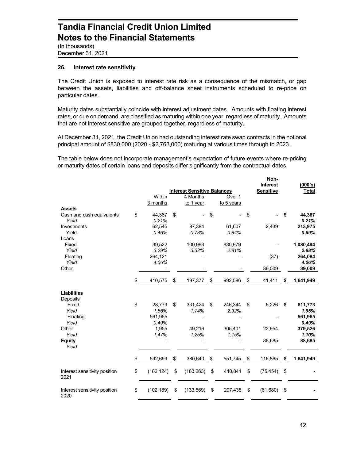(In thousands) December 31, 2021

#### **26. Interest rate sensitivity**

The Credit Union is exposed to interest rate risk as a consequence of the mismatch, or gap between the assets, liabilities and off-balance sheet instruments scheduled to re-price on particular dates.

Maturity dates substantially coincide with interest adjustment dates. Amounts with floating interest rates, or due on demand, are classified as maturing within one year, regardless of maturity. Amounts that are not interest sensitive are grouped together, regardless of maturity.

At December 31, 2021, the Credit Union had outstanding interest rate swap contracts in the notional principal amount of \$830,000 (2020 - \$2,763,000) maturing at various times through to 2023.

The table below does not incorporate management's expectation of future events where re-pricing or maturity dates of certain loans and deposits differ significantly from the contractual dates.

|                                                                                                                   | Within<br>3 months                                          | <b>Interest Sensitive Balances</b><br>4 Months<br>to 1 year | Over 1<br>to 5 years                       | Non-<br><b>Interest</b><br><b>Sensitive</b> | (000's)<br><b>Total</b>                                                  |
|-------------------------------------------------------------------------------------------------------------------|-------------------------------------------------------------|-------------------------------------------------------------|--------------------------------------------|---------------------------------------------|--------------------------------------------------------------------------|
| <b>Assets</b><br>Cash and cash equivalents<br>Yield<br>Investments<br>Yield                                       | \$<br>44,387<br>0.21%<br>62,545<br>0.46%                    | \$<br>87,384<br>0.78%                                       | \$<br>61,607<br>0.84%                      | \$<br>2,439                                 | \$<br>44,387<br>0.21%<br>213,975<br>0.69%                                |
| Loans<br>Fixed<br>Yield<br>Floating<br>Yield<br>Other                                                             | 39,522<br>3.29%<br>264,121<br>4.06%                         | 109,993<br>3.32%                                            | 930,979<br>2.81%                           | (37)<br>39,009                              | 1,080,494<br>2.88%<br>264,084<br>4.06%<br>39,009                         |
|                                                                                                                   | \$<br>410,575                                               | \$<br>197,377                                               | \$<br>992,586                              | \$<br>41,411                                | \$<br>1,641,949                                                          |
| <b>Liabilities</b><br>Deposits<br>Fixed<br>Yield<br>Floating<br>Yield<br>Other<br>Yield<br><b>Equity</b><br>Yield | \$<br>28,779<br>1.56%<br>561,965<br>0.49%<br>1,955<br>1.47% | \$<br>331,424<br>1.74%<br>49,216<br>1.25%                   | \$<br>246,344<br>2.32%<br>305,401<br>1.15% | \$<br>5,226<br>22,954<br>88,685             | \$<br>611,773<br>1.95%<br>561,965<br>0.49%<br>379,526<br>1.10%<br>88,685 |
|                                                                                                                   | \$<br>592,699                                               | \$<br>380,640                                               | \$<br>551,745                              | \$<br>116,865                               | \$<br>1,641,949                                                          |
| Interest sensitivity position<br>2021                                                                             | \$<br>(182, 124)                                            | \$<br>(183, 263)                                            | \$<br>440,841                              | \$<br>(75, 454)                             | \$                                                                       |
| Interest sensitivity position<br>2020                                                                             | \$<br>(102, 189)                                            | \$<br>(133, 569)                                            | \$<br>297,438                              | \$<br>(61, 680)                             | \$                                                                       |